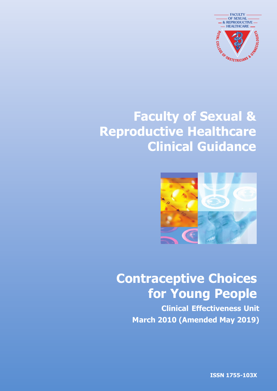

# **Faculty of Sexual & Reproductive Healthcare Clinical Guidance**



# **Contraceptive Choices for Young People**

**Clinical Effectiveness Unit March 2010 (Amended May 2019)**

**ISSN 1755-103X**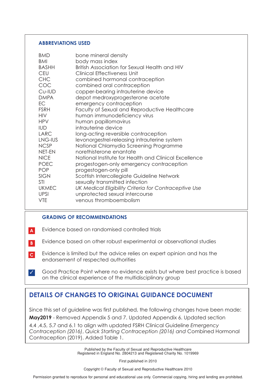#### **ABBREVIATIONS USED**

| <b>BMD</b><br><b>BMI</b><br>BASHH<br><b>CEU</b><br><b>CHC</b><br>COC<br>Cu-IUD<br><b>DMPA</b><br>EC<br><b>FSRH</b><br><b>HIV</b><br><b>HPV</b><br><b>IUD</b><br><b>LARC</b><br>LNG-IUS<br><b>NCSP</b><br><b>NET-EN</b><br><b>NICE</b><br><b>POEC</b><br><b>POP</b><br><b>SIGN</b><br>STI<br><b>UKMEC</b><br><b>UPSI</b> | bone mineral density<br>body mass index<br>British Association for Sexual Health and HIV<br>Clinical Effectiveness Unit<br>combined hormonal contraception<br>combined oral contraception<br>copper-bearing intrauterine device<br>depot medroxyprogesterone acetate<br>emergency contraception<br>Faculty of Sexual and Reproductive Healthcare<br>human immunodeficiency virus<br>human papillomavirus<br>intrauterine device<br>long-acting reversible contraception<br>levonorgestrel-releasing intrauterine system<br>National Chlamydia Screening Programme<br>norethisterone enantate<br>National Institute for Health and Clinical Excellence<br>progestogen-only emergency contraception<br>progestogen-only pill<br>Scottish Intercollegiate Guideline Network<br>sexually transmitted infection<br>UK Medical Eligibility Criteria for Contraceptive Use |
|-------------------------------------------------------------------------------------------------------------------------------------------------------------------------------------------------------------------------------------------------------------------------------------------------------------------------|---------------------------------------------------------------------------------------------------------------------------------------------------------------------------------------------------------------------------------------------------------------------------------------------------------------------------------------------------------------------------------------------------------------------------------------------------------------------------------------------------------------------------------------------------------------------------------------------------------------------------------------------------------------------------------------------------------------------------------------------------------------------------------------------------------------------------------------------------------------------|
| <b>VTE</b>                                                                                                                                                                                                                                                                                                              | unprotected sexual intercourse<br>venous thromboembolism                                                                                                                                                                                                                                                                                                                                                                                                                                                                                                                                                                                                                                                                                                                                                                                                            |

#### **GRADING OF RECOMMENDATIONS**

- Evidence based on randomised controlled trials **A**
- Evidence based on other robust experimental or observational studies **B**
- Evidence is limited but the advice relies on expert opinion and has the endorsement of respected authorities **C**
- Good Practice Point where no evidence exists but where best practice is based on the clinical experience of the multidisciplinary group ✓

## **DETAILS OF CHANGES TO ORIGINAL GUIDANCE DOCUMENT**

Since this set of guideline was first published, the following changes have been made:

**May2019** - Removed Appendix 5 and 7. Updated Appendix 6. Updated section

4.4 ,4.5, 5.7 and 6.1 to align with updated FSRH Clinical Guideline *Emergency Contraception (2016)*, *Quick Starting Contraception (2016) and* Combined Hormonal Contraception (2019). Added Table 1.

> Published by the Faculty of Sexual and Reproductive Healthcare Registered in England No. 2804213 and Registered Charity No. 1019969

> > First published in 2010

Copyright © Faculty of Sexual and Reproductive Healthcare 2010

Permission granted to reproduce for personal and educational use only. Commercial copying, hiring and lending are prohibited.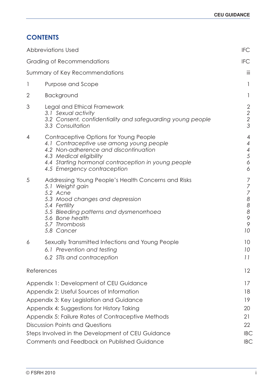## **CONTENTS**

| <b>Abbreviations Used</b>                                                                                                                                                                                                                                               | <b>IFC</b>                                                                                                        |
|-------------------------------------------------------------------------------------------------------------------------------------------------------------------------------------------------------------------------------------------------------------------------|-------------------------------------------------------------------------------------------------------------------|
| <b>Grading of Recommendations</b>                                                                                                                                                                                                                                       | <b>IFC</b>                                                                                                        |
| Summary of Key Recommendations                                                                                                                                                                                                                                          | iii                                                                                                               |
| 1<br>Purpose and Scope                                                                                                                                                                                                                                                  | 1                                                                                                                 |
| $\mathbf{2}$<br>Background                                                                                                                                                                                                                                              |                                                                                                                   |
| 3<br>Legal and Ethical Framework<br>3.1 Sexual activity<br>3.2 Consent, confidentiality and safeguarding young people<br>3.3 Consultation                                                                                                                               | 2<br>$\begin{array}{c} 2 \\ 2 \\ 3 \end{array}$                                                                   |
| Contraceptive Options for Young People<br>4<br>4.1 Contraceptive use among young people<br>4.2 Non-adherence and discontinuation<br>4.3 Medical eligibility<br>4.4 Starting hormonal contraception in young people<br>4.5 Emergency contraception                       | 4<br>4<br>$\overline{4}$<br>5<br>6<br>6                                                                           |
| 5<br>Addressing Young People's Health Concerns and Risks<br>5.1 Weight gain<br>5.2 Acne<br>5.3 Mood changes and depression<br>5.4 Fertility<br>5.5 Bleeding patterns and dysmenorrhoea<br>5.6 Bone health<br>5.7 Thrombosis<br>5.8 Cancer                               | 7<br>$\overline{7}$<br>$\overline{7}$<br>$\boldsymbol{8}$<br>$\boldsymbol{8}$<br>$\boldsymbol{8}$<br>9<br>9<br>10 |
| Sexually Transmitted Infections and Young People<br>6<br>6.1 Prevention and testing<br>6.2 STIs and contraception                                                                                                                                                       | 10<br>10<br>11                                                                                                    |
| References                                                                                                                                                                                                                                                              | $12 \overline{ }$                                                                                                 |
| Appendix 1: Development of CEU Guidance<br>Appendix 2: Useful Sources of Information<br>Appendix 3: Key Legislation and Guidance<br>Appendix 4: Suggestions for History Taking<br>Appendix 5: Failure Rates of Contraceptive Methods<br>Discussion Points and Questions | 17<br>18<br>19<br>20<br>21<br>22                                                                                  |
| Steps Involved in the Development of CEU Guidance<br>Comments and Feedback on Published Guidance                                                                                                                                                                        | <b>IBC</b><br><b>IBC</b>                                                                                          |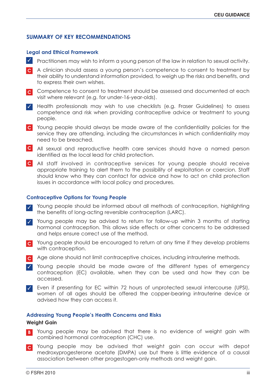#### **SUMMARY OF KEY RECOMMENDATIONS**

#### **Legal and Ethical Framework**

- Practitioners may wish to inform a young person of the law in relation to sexual activity. ✓
- A clinician should assess a young person's competence to consent to treatment by **C** their ability to understand information provided, to weigh up the risks and benefits, and to express their own wishes.
- Competence to consent to treatment should be assessed and documented at each **C** visit where relevant (e.g. for under-16-year-olds).
- Health professionals may wish to use checklists (e.g. Fraser Guidelines) to assess ✓ competence and risk when providing contraceptive advice or treatment to young people.
- Young people should always be made aware of the confidentiality policies for the **C** service they are attending, including the circumstances in which confidentiality may need to be breached.
- All sexual and reproductive health care services should have a named person **C** identified as the local lead for child protection.
- All staff involved in contraceptive services for young people should receive **C** appropriate training to alert them to the possibility of exploitation or coercion. Staff should know who they can contact for advice and how to act on child protection issues in accordance with local policy and procedures.

#### **Contraceptive Options for Young People**

- Young people should be informed about all methods of contraception, highlighting the benefits of long-acting reversible contraception (LARC). ✓
- ✓ Young people may be advised to return for follow-up within 3 months of starting hormonal contraception. This allows side effects or other concerns to be addressed and helps ensure correct use of the method.
- Young people should be encouraged to return at any time if they develop problems **C** with contraception.
- Age alone should not limit contraceptive choices, including intrauterine methods. **C**
- Young people should be made aware of the different types of emergency ✓ contraception (EC) available, when they can be used and how they can be accessed.
- Even if presenting for EC within 72 hours of unprotected sexual intercourse (UPSI), ✓ women of all ages should be offered the copper-bearing intrauterine device or advised how they can access it.

#### **Addressing Young People's Health Concerns and Risks**

#### **Weight Gain**

- Young people may be advised that there is no evidence of weight gain with **B** combined hormonal contraception (CHC) use.
- Young people may be advised that weight gain can occur with depot **C** medroxyprogesterone acetate (DMPA) use but there is little evidence of a causal association between other progestogen-only methods and weight gain.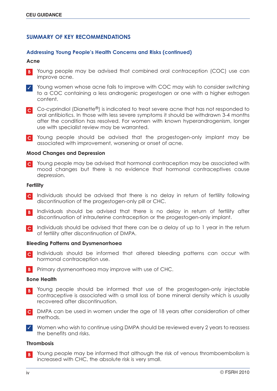#### **SUMMARY OF KEY RECOMMENDATIONS**

#### **Addressing Young People's Health Concerns and Risks (continued)**

#### **Acne**

- Young people may be advised that combined oral contraception (COC) use can improve acne. **B**
- Young women whose acne fails to improve with COC may wish to consider switching to a COC containing a less androgenic progestogen or one with a higher estrogen content. ✓
- Co-cyprindiol (Dianette®) is indicated to treat severe acne that has not responded to **C** oral antibiotics. In those with less severe symptoms it should be withdrawn 3-4 months after the condition has resolved. For women with known hyperandrogenism, longer use with specialist review may be warranted.
- Young people should be advised that the progestogen-only implant may be **C** associated with improvement, worsening or onset of acne.

#### **Mood Changes and Depression**

Young people may be advised that hormonal contraception may be associated with **C** mood changes but there is no evidence that hormonal contraceptives cause depression.

#### **Fertility**

- Individuals should be advised that there is no delay in return of fertility following **C** discontinuation of the progestogen-only pill or CHC.
- Individuals should be advised that there is no delay in return of fertility after **B** discontinuation of intrauterine contraception or the progestogen-only implant.
- Individuals should be advised that there can be a delay of up to 1 year in the return **C** of fertility after discontinuation of DMPA.

#### **Bleeding Patterns and Dysmenorrhoea**

- Individuals should be informed that altered bleeding patterns can occur with hormonal contraception use. **C**
- **B** Primary dysmenorrhoea may improve with use of CHC.

#### **Bone Health**

- Young people should be informed that use of the progestogen-only injectable contraceptive is associated with a small loss of bone mineral density which is usually recovered after discontinuation. **B**
- DMPA can be used in women under the age of 18 years after consideration of other **C** methods.
- Women who wish to continue using DMPA should be reviewed every 2 years to reassess ✓ the benefits and risks.

#### **Thrombosis**

Young people may be informed that although the risk of venous thromboembolism is increased with CHC, the absolute risk is very small. **B**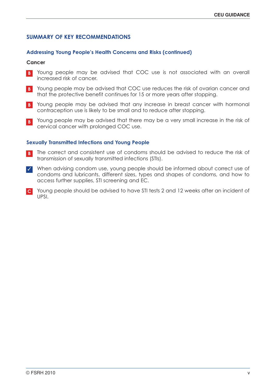#### **SUMMARY OF KEY RECOMMENDATIONS**

#### **Addressing Young People's Health Concerns and Risks (continued)**

#### **Cancer**

- **B** Young people may be advised that COC use is not associated with an overall increased risk of cancer.
- Young people may be advised that COC use reduces the risk of ovarian cancer and **B** that the protective benefit continues for 15 or more years after stopping.
- Young people may be advised that any increase in breast cancer with hormonal **B** contraception use is likely to be small and to reduce after stopping.
- Young people may be advised that there may be a very small increase in the risk of **B** cervical cancer with prolonged COC use.

#### **Sexually Transmitted Infections and Young People**

- The correct and consistent use of condoms should be advised to reduce the risk of **B** transmission of sexually transmitted infections (STIs).
- When advising condom use, young people should be informed about correct use of ✓ condoms and lubricants, different sizes, types and shapes of condoms, and how to access further supplies, STI screening and EC.
- Young people should be advised to have STI tests 2 and 12 weeks after an incident of **C** UPSI.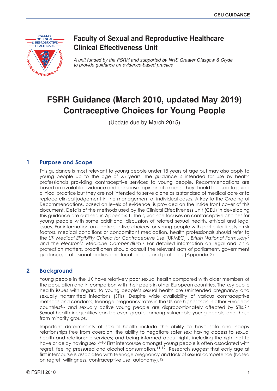

## **Faculty of Sexual and Reproductive Healthcare Clinical Effectiveness Unit**

*A unit funded by the FSRH and supported by NHS Greater Glasgow & Clyde to provide guidance on evidence-based practice*

## **FSRH Guidance (March 2010 Contraceptive Choices for Young People**

(Update due by March 2015)

#### **1 Purpose and Scope**

This guidance is most relevant to young people under 18 years of age but may also apply to young people up to the age of 25 years. The guidance is intended for use by health professionals providing contraceptive services to young people. Recommendations are based on available evidence and consensus opinion of experts. They should be used to guide clinical practice but they are not intended to serve alone as a standard of medical care or to replace clinical judgement in the management of individual cases. A key to the Grading of Recommendations, based on levels of evidence, is provided on the inside front cover of this document. Details of the methods used by the Clinical Effectiveness Unit (CEU) in developing this guidance are outlined in Appendix 1. The guidance focuses on contraceptive choices for young people with some additional discussion of related sexual health, ethical and legal issues. For information on contraceptive choices for young people with particular lifestyle risk factors, medical conditions or concomitant medication, health professionals should refer to the *UK Medical Eligibility Criteria for Contraceptive Use* (UKMEC)1, *British National Formulary*2 and the *electronic Medicine Compendium*. 3 For detailed information on legal and child protection matters, practitioners should consult the relevant acts of parliament, government guidance, professional bodies, and local policies and protocols (Appendix 2).

#### **2 Background**

Young people in the UK have relatively poor sexual health compared with older members of the population and in comparison with their peers in other European countries. The key public health issues with regard to young people's sexual health are unintended pregnancy and sexually transmitted infections (STIs). Despite wide availability of various contraceptive methods and condoms, teenage pregnancy rates in the UK are higher than in other European countries<sup>4,5</sup> and sexually active young people are disproportionately affected by  $SIIS.6,7$ Sexual health inequalities can be even greater among vulnerable young people and those from minority groups.

Important determinants of sexual health include the ability to have safe and happy relationships free from coercion; the ability to negotiate safer sex; having access to sexual health and relationship services; and being informed about rights including the right not to have or delay having sex.<sup>8–10</sup> First intercourse amongst young people is often associated with regret, feeling pressured and alcohol consumption.<sup>11,12</sup> Research suggest that early age at first intercourse is associated with teenage pregnancy and lack of sexual competence (based on regret, willingness, contraceptive use, autonomy).12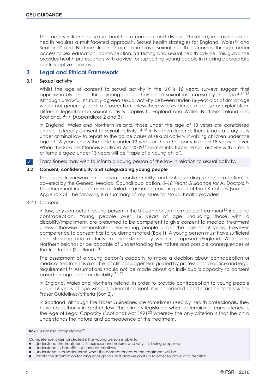The factors influencing sexual health are complex and diverse. Therefore, improving sexual health requires a multifaceted approach. Sexual health strategies for England, Wales<sup>10</sup> and Scotland<sup>9</sup> and Northern Ireland<sup>8</sup> aim to improve sexual health outcomes through better access to sex education, contraception, STI testing and sexual health advice. This guidance provides health professionals with advice for supporting young people in making appropriate contraceptive choices.

#### **3 Legal and Ethical Framework**

#### **3.1 Sexual activity**

Whilst the age of consent to sexual activity in the UK is 16 years, surveys suggest that approximately one in three young people have had sexual intercourse by this age.<sup>4,12,13</sup> Although unlawful, mutually agreed sexual activity between under-16-year-olds of similar age would not generally lead to prosecution unless there was evidence of abuse or exploitation. Different legislation on sexual activity applies to England and Wales, Northern Ireland and Scotland.<sup>14–16</sup> (Appendices 2 and 3).

In England, Wales and Northern Ireland, those under the age of 13 years are considered unable to legally consent to sexual activity.<sup>14,15</sup> In Northern Ireland, there is no statutory duty under criminal law to report to the police cases of sexual activity involving children under the age of 16 years unless the child is under 13 years or the other party is aged 18 years or over. When the Sexual Offences Scotland Act 2009<sup>17</sup> comes into force, sexual activity with a male or female aged under 13 years will be "rape of a young child".

Practitioners may wish to inform a young person of the law in relation to sexual activity. ✓

#### **3.2 Consent, confidentiality and safeguarding young people**

The legal framework on consent, confidentiality and safeguarding (child protection) is covered by the General Medical Council publication, *0–18 Years: Guidance for All Doctors*.18 This document includes more detailed information covering each of the UK nations (see also Appendix 3). The following is a summary of key issues for sexual health providers.

#### *3.2.1 Consent*

In law, any competent young person in the UK can consent to medical treatment<sup>19</sup> including contraception. Young people over 16 years of age, including those with a disability/impairment, are presumed to be competent to give consent to medical treatment unless otherwise demonstrated. For young people under the age of 16 years, however, competence to consent has to be demonstrated (Box 1). A young person must have sufficient understanding and maturity to understand fully what is proposed (England, Wales and Northern Ireland) or be capable of understanding the nature and possible consequences of the treatment (Scotland).20

The assessment of a young person's capacity to make a decision about contraception or medical treatment is a matter of clinical judgement guided by professional practice and legal requirement.19 Assumptions should not be made about an individual's capacity to consent based on age alone or disability.21,22

In England, Wales and Northern Ireland, in order to provide contraception to young people under 16 years of age without parental consent, it is considered good practice to follow the Fraser Guidelines/criteria (Box 2).

In Scotland, although the Fraser Guidelines are sometimes used by health professionals, they have no authority in Scottish law. The primary legislation when determining 'competency' is the Age of Legal Capacity (Scotland) Act 1991<sup>20</sup> whereby the only criterion is that the child understands the nature and consequence of the treatment.

Competence is demonstrated if the young person is able to:

**Box 1** Assessing competence<sup>19</sup>

Understand the treatment, its purpose and nature, and why it is being proposed

Understand its benefits, risks and alternatives

Understand in broader terms what the consequences of the treatment will be

<sup>●</sup> Retain the information for long enough to use it and weigh it up in order to arrive at a decision.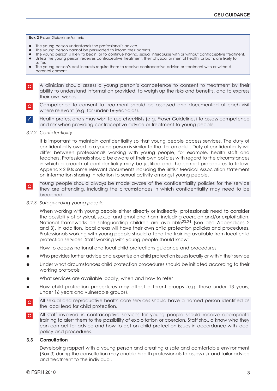#### **Box 2** Fraser Guidelines/criteria

- The young person understands the professional's advice.
- The young person cannot be persuaded to inform their parents.
- The young person is likely to begin, or to continue having, sexual intercourse with or without contraceptive treatment.
- Unless the young person receives contraceptive treatment, their physical or mental health, or both, are likely to suffer.
- The young person's best interests require them to receive contraceptive advice or treatment with or without parental consent.
- A clinician should assess a young person's competence to consent to treatment by their ability to understand information provided, to weigh up the risks and benefits, and to express their own wishes. **C**
- Competence to consent to treatment should be assessed and documented at each visit where relevant (e.g. for under-16-year-olds). **C**
- Health professionals may wish to use checklists (e.g. Fraser Guidelines) to assess competence and risk when providing contraceptive advice or treatment to young people. ✓

#### *3.2.2 Confidentiality*

It is important to maintain confidentiality so that young people access services. The duty of confidentiality owed to a young person is similar to that for an adult. Duty of confidentiality will differ between professionals working with young people, for example, health staff and teachers. Professionals should be aware of their own policies with regard to the circumstances in which a breach of confidentiality may be justified and the correct procedures to follow. Appendix 2 lists some relevant documents including the British Medical Association statement on information sharing in relation to sexual activity amongst young people.

Young people should always be made aware of the confidentiality policies for the service they are attending, including the circumstances in which confidentiality may need to be breached.  $|c|$ 

*3.2.3 Safeguarding young people*

When working with young people either directly or indirectly, professionals need to consider the possibility of physical, sexual and emotional harm including coercion and/or exploitation. National frameworks on safeguarding children are available23,24 (see also Appendices 2 and 3). In addition, local areas will have their own child protection policies and procedures. Professionals working with young people should attend the training available from local child protection services. Staff working with young people should know:

- How to access national and local child protections guidance and procedures
- Who provides further advice and expertise on child protection issues locally or within their service
- Under what circumstances child protection procedures should be initiated according to their working protocols
- What services are available locally, when and how to refer
- How child protection procedures may affect different groups (e.g. those under 13 years, under 16 years and vulnerable groups).
- All sexual and reproductive health care services should have a named person identified as the local lead for child protection. **C**
- All staff involved in contraceptive services for young people should receive appropriate training to alert them to the possibility of exploitation or coercion. Staff should know who they can contact for advice and how to act on child protection issues in accordance with local policy and procedures. **C**

#### **3.3 Consultation**

Developing rapport with a young person and creating a safe and comfortable environment (Box 3) during the consultation may enable health professionals to assess risk and tailor advice and treatment to the individual.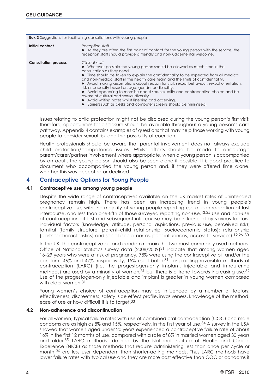| <b>Box 3</b> Suggestions for facilitating consultations with young people                                                                                                                                                                                                                                                                                                                                                                                                                                                                                                                                                                                                                                                                                  |  |  |
|------------------------------------------------------------------------------------------------------------------------------------------------------------------------------------------------------------------------------------------------------------------------------------------------------------------------------------------------------------------------------------------------------------------------------------------------------------------------------------------------------------------------------------------------------------------------------------------------------------------------------------------------------------------------------------------------------------------------------------------------------------|--|--|
| Initial contact<br>Reception staff<br>• As they are often the first point of contact for the young person with the service, the<br>reception staff should provide a friendly and non-judgemental welcome.                                                                                                                                                                                                                                                                                                                                                                                                                                                                                                                                                  |  |  |
| Clinical staff<br><b>Consultation process</b><br>• Wherever possible the young person should be allowed as much time in the<br>consultation as they need.<br>• Time should be taken to explain the confidentiality to be expected from all medical<br>and non-medical staff in the health care team and the limits of confidentiality.<br>• Avoid making assumptions about reason for visit; sexual behaviour; sexual orientation;<br>risk or capacity based on age, gender or disability.<br>• Avoid appearing to moralise about sex, sexuality and contraceptive choice and be<br>aware of cultural and sexual diversity.<br>• Avoid writing notes whilst listening and observing.<br>• Barriers such as desks and computer screens should be minimised. |  |  |

Issues relating to child protection might not be disclosed during the young person's first visit; therefore, opportunities for disclosure should be available throughout a young person's care pathway. Appendix 4 contains examples of questions that may help those working with young people to consider sexual risk and the possibility of coercion.

Health professionals should be aware that parental involvement does not always exclude child protection/competence issues. Whilst efforts should be made to encourage parent/carer/partner involvement where appropriate, when a young person is accompanied by an adult, the young person should also be seen alone if possible. It is good practice to document who accompanied the young person and, if they were offered time alone, whether this was accepted or declined.

#### **4 Contraceptive Options for Young People**

#### **4.1 Contraceptive use among young people**

Despite the wide range of contraceptives available on the UK market rates of unintended pregnancy remain high. There has been an increasing trend in young people's contraceptive use, with the majority of young people reporting use of contraception at last intercourse, and less than one-fifth of those surveyed reporting non-use.13,25 Use and non-use of contraception at first and subsequent intercourse may be influenced by various factors: individual factors (knowledge, attitude, personal aspirations, previous use, perceived risk); familial (family structure, parent–child relationship, socioeconomic status); relationship (partner characteristics) and social (social norms, peer influences, access to services).12,26–30

In the UK, the contraceptive pill and condom remain the two most commonly used methods. Office of National Statistics survey data (2008/2009)<sup>31</sup> indicate that among women aged 16–29 years who were at risk of pregnancy, 78% were using the contraceptive pill and/or the condom (46% and 47%, respectively, 15% used both).<sup>31</sup> Long-acting reversible methods of contraception (LARC) (i.e. the progestogen-only implant, injectable and intrauterine methods) are used by a minority of women,  $31$  but there is a trend towards increasing use.  $32$ Use of the progestogen-only injectable and implant is greater in young women compared with older women 31

Young women's choice of contraception may be influenced by a number of factors: effectiveness, discreetness, safety, side effect profile, invasiveness, knowledge of the method, ease of use or how difficult it is to forget.<sup>33</sup>

#### **4.2 Non-adherence and discontinuation**

For all women, typical failure rates with use of combined oral contraception (COC) and male condoms are as high as 8% and 15%, respectively, in the first year of use.34 A survey in the USA showed that women aged under 20 years experienced a contraceptive failure rate of about 16% in the first 12 months of use, compared with a rate of 8% in married women aged 30 years and older.35 LARC methods [defined by the National Institute of Health and Clinical Excellence (NICE) as those methods that require administering less than once per cycle or month]<sup>36</sup> are less user dependent than shorter-acting methods. Thus LARC methods have lower failure rates with typical use and they are more cost effective than COC or condoms if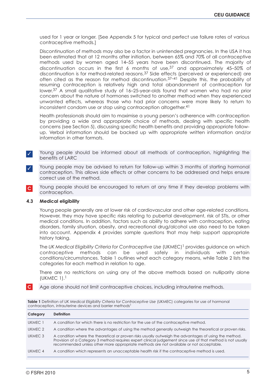used for 1 year or longer. [See Appendix 5 for typical and perfect use failure rates of various contraceptive methods.]

Discontinuation of methods may also be a factor in unintended pregnancies. In the USA it has been estimated that at 12 months after initiation, between 65% and 70% of all contraceptive methods used by women aged 14–55 years have been discontinued. The majority of discontinuation occurs in the first 6 months of use,37 and approximately 45–50% of discontinuation is for method-related reasons.37 Side effects (perceived or experienced) are often cited as the reason for method discontinuation.<sup>37–41</sup> Despite this, the probability of resuming contraception is relatively high and total abandonment of contraception far lower. 37 A small qualitative study of 16–25-year-olds found that women who had no prior concern about the nature of hormones switched to another method when they experienced unwanted effects, whereas those who had prior concerns were more likely to return to inconsistent condom use or stop using contraception altogether. 41

Health professionals should aim to maximise a young person's adherence with contraception by providing a wide and appropriate choice of methods, dealing with specific health concerns (see Section 5), discussing specific health benefits and providing appropriate followup. Verbal information should be backed up with appropriate written information and/or information in other formats.

- Young people should be informed about all methods of contraception, highlighting the benefits of LARC ✓
- Young people may be advised to return for follow-up within 3 months of starting hormonal contraception. This allows side effects or other concerns to be addressed and helps ensure correct use of the method. ✓
- Young people should be encouraged to return at any time if they develop problems with contraception. **C**

#### **4.3 Medical eligibility**

Young people generally are at lower risk of cardiovascular and other age-related conditions. However, they may have specific risks relating to pubertal development, risk of STIs, or other medical conditions. In addition, factors such as ability to adhere with contraception, eating disorders, family situation, obesity, and recreational drug/alcohol use also need to be taken into account. Appendix 4 provides sample questions that may help support appropriate history taking.

The *UK Medical Eligibility Criteria for Contraceptive Use* (UKMEC)1 provides guidance on which contraceptive methods can be used safely in individuals with certain conditions/circumstances. Table 1 outlines what each category means, while Table 2 lists the categories for each method in relation to age.

There are no restrictions on using any of the above methods based on nulliparity alone (UKMEC 1).1

Age alone should not limit contraceptive choices, including intrauterine methods. **C**

**Table 1** Definition of *UK Medical Eligibility Criteria for Contraceptive Use* (UKMEC) categories for use of hormonal contraception, intrauterine devices and barrier methods<sup>1</sup>

| Category | <b>Definition</b>                                                                                                                                                                                                                                                                                               |
|----------|-----------------------------------------------------------------------------------------------------------------------------------------------------------------------------------------------------------------------------------------------------------------------------------------------------------------|
| UKMEC 1  | A condition for which there is no restriction for the use of the contraceptive method.                                                                                                                                                                                                                          |
| UKMEC 2  | A condition where the advantages of using the method generally outweigh the theoretical or proven risks.                                                                                                                                                                                                        |
| UKMEC 3  | A condition where the theoretical or proven risks usually outweigh the advantages of using the method.<br>Provision of a Category 3 method requires expert clinical judgement since use of that method is not usually<br>recommended unless other more appropriate methods are not available or not acceptable. |
| UKMEC 4  | A condition which represents an unacceptable health risk if the contraceptive method is used.                                                                                                                                                                                                                   |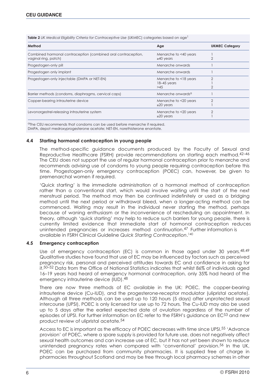**Table 2** *UK Medical Eligibility Criteria for Contraceptive Use* (UKMEC) categories based on age<sup>1</sup>

| Method                                                                                | Age                                           | <b>UKMEC Category</b> |
|---------------------------------------------------------------------------------------|-----------------------------------------------|-----------------------|
| Combined hormonal contraception (combined oral contraception,<br>vaginal ring, patch) | Menarche to <40 years<br>$\geq 40$ years      |                       |
| Progestogen-only pill                                                                 | Menarche onwards                              |                       |
| Progestogen only implant                                                              | Menarche onwards                              |                       |
| Progestogen-only injectable (DMPA or NET-EN)                                          | Menarche to <18 years<br>$18-45$ years<br>>45 | っ                     |
| Barrier methods (condoms, diaphragms, cervical caps)                                  | Menarche onwards <sup>a</sup>                 |                       |
| Copper-bearing intrauterine device                                                    | Menarche to <20 years<br>$\geq$ 20 years      | っ                     |
| Levonorgestrel-releasing intrauterine system                                          | Menarche to <20 years<br>$\geq$ 20 years      |                       |

aThe CEU recommends that condoms can be used before menarche if required.

DMPA, depot medroxyprogesterone acetate; NET-EN, norethisterone enantate.

#### **4.4 Starting hormonal contraception in young people**

The method-specific guidance documents produced by the Faculty of Sexual and Reproductive Healthcare (FSRH) provide recommendations on starting each method.42–46 The CEU does not support the use of regular hormonal contraception prior to menarche and recommends advising use of condoms to young people requiring contraception before this time. Progestogen-only emergency contraception (POEC) can, however, be given to premenarchal women if required.

'Quick starting' is the immediate administration of a hormonal method of contraception rather than a conventional start, which would involve waiting until the start of the next menstrual period. The method may then be continued indefinitely or used as a bridging method until the next period or withdrawal bleed, when a longer-acting method can be commenced. Waiting may result in the individual never starting the method, perhaps because of waning enthusiasm or the inconvenience of rescheduling an appointment. In theory, although 'quick starting' may help to reduce such barriers for young people, there is currently limited evidence that immediate start of hormonal contraception reduces unintended pregnancies or increases method continuation.47 Further information is available in FSRH Clinical Guideline *Quick Starting Contraception*. 140

#### **4.5 Emergency contraception**

Use of emergency contraception (EC) is common in those aged under 30 years. $48.49$ Qualitative studies have found that use of EC may be influenced by factors such as perceived pregnancy risk, personal and perceived attitudes towards EC and confidence in asking for it.50–52 Data from the Office of National Statistics indicates that whilst 86% of individuals aged 16–19 years had heard of emergency hormonal contraception, only 35% had heard of the emergency intrauterine device (IUD).48

There are now three methods of EC available in the UK: POEC, the copper-bearing intrauterine device (Cu-IUD), and the progesterone-receptor modulator (ulipristal acetate). Although all three methods can be used up to 120 hours (5 days) after unprotected sexual intercourse (UPSI), POEC is only licensed for use up to 72 hours. The Cu-IUD may also be used up to 5 days after the earliest expected date of ovulation regardless of the number of episodes of UPSI. For further information on EC refer to the FSRH's guidance on EC<sup>53</sup> and new product review of ulipristal acetate.54

Access to EC is important as the efficacy of POEC decreases with time since UPSI.55 'Advance provision' of POEC, where a spare supply is provided for future use, does not negatively affect sexual health outcomes and can increase use of EC, but it has not yet been shown to reduce unintended pregnancy rates when compared with 'conventional' provision.56 In the UK, POEC can be purchased from community pharmacies. It is supplied free of charge in pharmacies throughout Scotland and may be free through local pharmacy schemes in other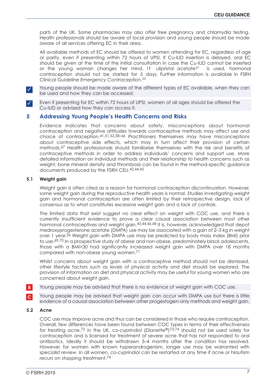parts of the UK. Some pharmacies may also offer free pregnancy and chlamydia testing. Health professionals should be aware of local provision and young people should be made aware of all services offering EC in their area.

All available methods of EC should be offered to women attending for EC, regardless of age or parity, even if presenting within 72 hours of UPSI. If Cu-IUD insertion is delayed, oral EC should be given at the time of the initial consultation in case the Cu-IUD cannot be inserted or the young woman changes her mind. If ulipristal acetate<sup>57</sup> is used, hormonal contraception should not be started for 5 days. Further information is available in FSRH Clinical Guideline *Emergency Contraception*. 53

Young people should be made aware of the different types of EC available, when they can be used and how they can be accessed. ✓

Even if presenting for EC within 72 hours of UPSI, women of all ages should be offered the Cu-IUD or advised how they can access it. ✓

#### **5 Addressing Young People's Health Concerns and Risks**

Evidence indicates that concerns about safety, misconceptions about hormonal contraception and negative attitudes towards contraceptive methods may affect use and choice of contraception.41,51,52,58–66 Practitioners themselves may have misconceptions about contraceptive side effects, which may in turn affect their provision of certain methods.67 Health professionals should familiarise themselves with the risk and benefits of contraceptive methods in order to address individuals' concerns and support use. More detailed information on individual methods and their relationship to health concerns such as weight, bone mineral density and thrombosis can be found in the method-specific guidance documents produced by the FSRH CEU.42,44,45

#### **5.1 Weight gain**

Weight gain is often cited as a reason for hormonal contraception discontinuation. However, some weight gain during the reproductive health years is normal. Studies investigating weight gain and hormonal contraception are often limited by their retrospective design, lack of consensus as to what constitutes excessive weight gain and a lack of controls.

The limited data that exist suggest no clear effect on weight with COC use, and there is currently insufficient evidence to prove a clear causal association between most other hormonal contraceptives and weight gain.<sup>43,44,46,68</sup> It is, however, acknowledged that depot medroxyprogesterone acetate (DMPA) use may be associated with a gain of 2–3 kg in weight over 1 year.36 Weight gain with DMPA use may be predicted by body mass index (BMI) prior to use.<sup>69,70</sup> In a prospective study of obese and non-obese, predominately black adolescents, those with a BMI>30 had significantly increased weight gain with DMPA over 18 months compared with non-obese young women.71

Whilst concerns about weight gain with a contraceptive method should not be dismissed, other lifestyle factors such as levels of physical activity and diet should be explored. The provision of information on diet and physical activity may be useful for young women who are concerned about weight gain.

Young people may be advised that there is no evidence of weight gain with COC use. **B**

Young people may be advised that weight gain can occur with DMPA use but there is little evidence of a causal association between other progestogen-only methods and weight gain. **C**

#### **5.2 Acne**

COC use may improve acne and thus can be considered in those who require contraception. Overall, few differences have been found between COC types in terms of their effectiveness for treating acne.<sup>72</sup> In the UK, co-cyprindiol (Dianette<sup>®</sup>)<sup>73,74</sup> should not be used solely for contraception and is licensed for treatment of severe acne that has not responded to oral antibiotics. Ideally it should be withdrawn 3–4 months after the condition has resolved. However, for women with known hyperandrogenism, longer use may be warranted with specialist review. In all women, co-cyprindiol can be restarted at any time if acne or hirsutism recurs on stopping treatment.74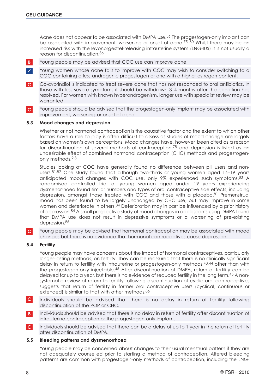Acne does not appear to be associated with DMPA use.<sup>36</sup> The progestogen-only implant can be associated with improvement, worsening or onset of acne.<sup>75–80</sup> Whilst there may be an increased risk with the levonorgestrel-releasing intrauterine system (LNG-IUS) it is not usually a reason for discontinuation.36

Young people may be advised that COC use can improve acne. **B**

Young women whose acne fails to improve with COC may wish to consider switching to a COC containing a less androgenic progestogen or one with a higher estrogen content. ✓

Co-cyprindiol is indicated to treat severe acne that has not responded to oral antibiotics. In those with less severe symptoms it should be withdrawn 3–4 months after the condition has resolved. For women with known hyperandrogenism, longer use with specialist review may be warranted. **C**

Young people should be advised that the progestogen-only implant may be associated with improvement, worsening or onset of acne. **C**

#### **5.3 Mood changes and depression**

Whether or not hormonal contraception is the causative factor and the extent to which other factors have a role to play is often difficult to assess as studies of mood change are largely based on women's own perceptions. Mood changes have, however, been cited as a reason for discontinuation of several methods of contraception,<sup>78</sup> and depression is listed as an undesirable effect of combined hormonal contraception (CHC) methods and progestogenonly methods.2,3

Studies looking at COC have generally found no difference between pill users and nonusers.<sup>81,82</sup> One study found that although two-thirds or young women aged 14–19 years anticipated mood changes with COC use, only 9% experienced such symptoms.83 A randomised controlled trial of young women aged under 19 years experiencing dysmenorrhoea found similar numbers and types of oral contraceptive side effects, including depression, amongst those treated with COC and those with a placebo.<sup>81</sup> Premenstrual mood has been found to be largely unchanged by CHC use, but may improve in some women and deteriorate in others.<sup>84</sup> Deterioration may in part be influenced by a prior history of depression.84 A small prospective study of mood changes in adolescents using DMPA found that DMPA use does not result in depressive symptoms or a worsening of pre-existing depression.85

Young people may be advised that hormonal contraception may be associated with mood changes but there is no evidence that hormonal contraceptives cause depression. **C**

#### **5.4 Fertility**

Young people may have concerns about the impact of hormonal contraceptives, particularly longer-lasting methods, on fertility. They can be reassured that there is no clinically significant delay in return to fertility with intrauterine or progestogen-only methods,43,44 other than with the progestogen-only injectable.45 After discontinuation of DMPA, return of fertility can be delayed for up to a year, but there is no evidence of reduced fertility in the long term.<sup>45</sup> A nonsystematic review of return to fertility following discontinuation of cyclic oral contraceptives suggests that return of fertility in former oral contraceptive users (cyclical, continuous or extended) is similar to that with other methods.<sup>86</sup>

- Individuals should be advised that there is no delay in return of fertility following discontinuation of the POP or CHC. **C**
- Individuals should be advised that there is no delay in return of fertility after discontinuation of intrauterine contraception or the progestogen-only implant. **B**
- Individuals should be advised that there can be a delay of up to 1 year in the return of fertility after discontinuation of DMPA. **C**

#### **5.5 Bleeding patterns and dysmenorrhoea**

Young people may be concerned about changes to their usual menstrual pattern if they are not adequately counselled prior to starting a method of contraception. Altered bleeding patterns are common with progestogen-only methods of contraception, including the LNG-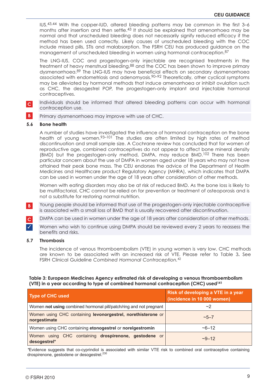IUS.43,44 With the copper-IUD, altered bleeding patterns may be common in the first 3–6 months after insertion and then settle.43 It should be explained that amenorrhoea may be normal and that unscheduled bleeding does not necessarily signify reduced efficacy if the method has been used correctly. Likely causes of unscheduled bleeding with the COC include missed pills, STIs and malabsorption. The FSRH CEU has produced guidance on the management of unscheduled bleeding in women using hormonal contraception.<sup>87</sup>

The LNG-IUS, COC and progestogen-only injectable are recognised treatments in the treatment of heavy menstrual bleeding,<sup>88</sup> and the COC has been shown to improve primary dysmenorrhoea.89 The LNG-IUS may have beneficial effects on secondary dysmenorrhoea associated with endometriosis and adenomyosis.90–92 Theoretically, other cyclical symptoms may be alleviated by hormonal methods that induce amenorrhoea or inhibit ovulation such as CHC, the desogestrel POP, the progestogen-only implant and injectable hormonal contraceptives.

- Individuals should be informed that altered bleeding patterns can occur with hormonal contraception use. **C**
- Primary dysmenorrhoea may improve with use of CHC. **B**

#### **5.6 Bone health**

A number of studies have investigated the influence of hormonal contraception on the bone health of young women.<sup>93-101</sup> The studies are often limited by high rates of method discontinuation and small sample size. A Cochrane review has concluded that for women of reproductive age, combined contraceptives do not appear to affect bone mineral density (BMD) but the progestogen-only method, DMPA, may reduce BMD.102 There has been particular concern about the use of DMPA in women aged under 18 years who may not have attained their peak bone mass. The CEU endorses the advice of the Department of Health Medicines and Healthcare product Regulatory Agency (MHRA), which indicates that DMPA can be used in women under the age of 18 years after consideration of other methods.

Women with eating disorders may also be at risk of reduced BMD. As the bone loss is likely to be multifactorial, CHC cannot be relied on for prevention or treatment of osteoporosis and is not a substitute for restoring normal nutrition.

Young people should be informed that use of the progestogen-only injectable contraceptive is associated with a small loss of BMD that is usually recovered after discontinuation. **B**

DMPA can be used in women under the age of 18 years after consideration of other methods.

Women who wish to continue using DMPA should be reviewed every 2 years to reassess the benefits and risks.

#### **5.7 Thrombosis**

✓

**C**

The incidence of venous thromboembolism (VTE) in young women is very low. CHC methods are known to be associated with an increased risk of VTE. Please refer to Table 3**.** See FSRH Clinical Guideline *Combined Hormonal Contraception.*<sup>42</sup>

#### **Table 3: European Medicines Agency estimated risk of developing a venous thromboembolism (VTE) in a year according to type of combined hormonal contraception (CHC) used141**

| <b>Type of CHC used</b>                                                      | Risk of developing a VTE in a year<br>(incidence in 10 000 women) |
|------------------------------------------------------------------------------|-------------------------------------------------------------------|
| Women not using combined hormonal pill/patch/ring and not pregnant           | ~2                                                                |
| Women using CHC containing levonorgestrel, norethisterone or<br>norgestimate | $~15 - 7$                                                         |
| Women using CHC containing etonogestrel or norelgestromin                    | ~12                                                               |
| Women using CHC containing drospirenone, gestodene or<br>desogestrel*        | $-9 - 12$                                                         |

*\**Evidence suggests that co-cyprindiol is associated with similar VTE risk to combined oral contraceptive containing drospirenone, gestodene or desogestrel.<sup>230</sup>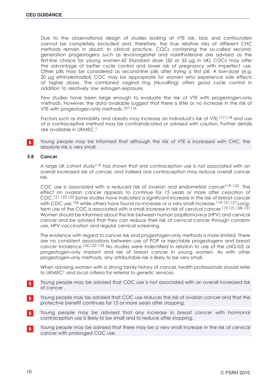Due to the observational desian of studies looking at VTE risk, bias and confounders cannot be completely excluded and, therefore, the true relative risks of different CHC methods remain in doubt. In clinical practice, COCs containing the so-called secondgeneration progestogens such as levonorgestrel and norethisterone are advised as the first-line choice for young women.42 Standard dose (30 or 35 µg in UK) COCs may offer the advantage of better cycle control and lower risk of pregnancy with imperfect use. Other pills may be considered as second-line pills after trying a first pill. A low-dose (e.g. 20 µg ethinylestradiol) COC may be appropriate for women who experience side effects at higher doses. The combined vaginal ring (NuvaRing) offers good cycle control in addition to relatively low estrogen exposure.

Few studies have been large enough to evaluate the risk of VTE with progestogen-only methods. However, the data available suggest that there is little or no increase in the risk of VTE with progestogen-only methods.107,116

Factors such as immobility and obesity may increase an individual's risk of VTE,117,118 and use of a contraceptive method may be contraindicated or advised with caution. Further details are available in UKMEC.1

Young people may be informed that although the risk of VTE is increased with CHC, the absolute risk is very small. **B**

#### **5.8 Cancer**

A large UK cohort study119 has shown that oral contraception use is not associated with an overall increased risk of cancer, and indeed oral contraception may reduce overall cancer risk.

COC use is associated with a reduced risk of ovarian and endometrial cancer<sup>119–125</sup>. The effect on ovarian cancer appears to continue for 15 years or more after cessation of COC.121,123,125 Some studies have indicated a significant increase in the risk of breast cancer with COC use, <sup>126</sup> while others have found no increase or a very small increase.<sup>119,121,127</sup> Longterm use of the COC is associated with a small increase in risk of cervical cancer.119,121,128–131 Women should be informed about the link between human papillomavirus (HPV) and cervical cancer and be advised that they can reduce their risk of cervical cancer through condom use, HPV vaccination and regular cervical screening.

The evidence with regard to cancer risk and progestogen-only methods is more limited. There are no consistent associations between use of POP or injectable progestogens and breast cancer incidence.126,132–135 No studies were indentified in relation to use of the LNG-IUS or progestogen-only implant and risk of breast cancer in young women. As with other progestogen-only methods, any attributable risk is likely to be very small.

When advising women with a strong family history of cancer, health professionals should refer to UKMEC<sup>1</sup> and local criteria for referral to genetic services.

- Young people may be advised that COC use is not associated with an overall increased risk of cancer . **B**
- Young people may be advised that COC use reduces the risk of ovarian cancer and that the protective benefit continues for 15 or more years after stopping. **B**
- Young people may be advised that any increase in breast cancer with hormonal contraception use is likely to be small and to reduce after stopping. **B**
- Young people may be advised that there may be a very small increase in the risk of cervical cancer with prolonged COC use. **B**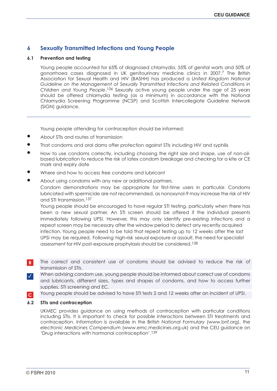#### **6 Sexually Transmitted Infections and Young People**

#### **6.1 Prevention and testing**

Young people accounted for 65% of diagnosed chlamydia, 55% of genital warts and 50% of gonorrhoea cases diagnosed in UK genitourinary medicine clinics in 2007.7 The British Association for Sexual Health and HIV (BASHH) has produced a *United Kingdom National Guideline on the Management of Sexually Transmitted Infections and Related Conditions in Children and Young People*.136 Sexually active young people under the age of 25 years should be offered chlamydia testing (as a minimum) in accordance with the National Chlamydia Screening Programme (NCSP) and Scottish Intercollegiate Guideline Network (SIGN) guidance.

Young people attending for contraception should be informed:

- About STIs and routes of transmission
- That condoms and oral dams offer protection against STIs including HIV and syphilis
- How to use condoms correctly, including choosing the right size and shape, use of non-oilbased lubrication to reduce the risk of latex condom breakage and checking for a kite or CE mark and expiry date
- Where and how to access free condoms and lubricant
- About using condoms with any new or additional partners. Condom demonstrations may be appropriate for first-time users in particular. Condoms lubricated with spermicide are not recommended, as nonoxynol-9 may increase the risk of HIV and STI transmission.137

Young people should be encouraged to have regular STI testing, particularly when there has been a new sexual partner. An STI screen should be offered if the individual presents immediately following UPSI. However, this may only identify pre-existing infections and a repeat screen may be necessary after the window period to detect any recently acquired infection. Young people need to be told that repeat testing up to 12 weeks after the last UPSI may be required. Following high-risk sexual exposure or assault, the need for specialist assessment for HIV post-exposure prophylaxis should be considered.138

- The correct and consistent use of condoms should be advised to reduce the risk of transmission of STIs. **B**
- When advising condom use, young people should be informed about correct use of condoms and lubricants, different sizes, types and shapes of condoms, and how to access further supplies, STI screening and EC. ✓
- Young people should be advised to have STI tests 2 and 12 weeks after an incident of UPSI. **C**

#### **6.2 STIs and contraception**

UKMEC provides guidance on using methods of contraception with particular conditions including STIs. It is important to check for possible interactions between STI treatments and contraception. Information is available in the B*ritish National Formulary* (www.bnf.org), the *electronic Medicines Compendium* (www.emc.medicines.org.uk) and the CEU guidance on 'Drug interactions with hormonal contraception'.139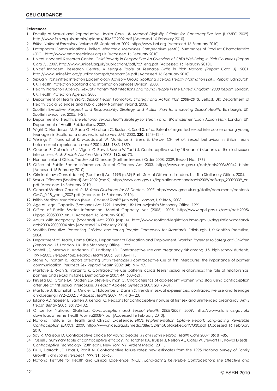#### **References**

- 1 Faculty of Sexual and Reproductive Health Care. *UK Medical Eligibility Criteria for Contraceptive Use* (UKMEC 2009). http://www.fsrh.org.uk/admin/uploads/UKMEC2009.pdf [Accessed 16 February 2010].
- 2 *British National Formulary*. Volume 58. September 2009. http://www.bnf.org [Accessed 16 February 2010].
- 3 Datapharm Communications Limited. *electronic Medicines Compendium* (eMC). Summaries of Product Characteristics (SPC). http://www.emc.medicines.org.uk [Accessed 16 February 2010].
- 4 Unicef Innocenti Research Centre. *Child Poverty in Perspective: An Overview of Child Well-Being in Rich Countries (Report Card 7)*. 2007. http://www.unicef.org.uk/publications/pdf/rc7\_eng.pdf [Accessed 16 February 2010].
- 5 Unicef Innocenti Research Centre. *A League Table of Teenage Births in Rich Nations (Report Card 3).* 2001. http://www.unicef-irc.org/publications/pdf/repcard3e.pdf [Accessed 16 February 2010].
- 6 Sexually Transmitted Infection Epidemiology Advisory Group. *Scotland's Sexual Health Information (SSHI) Report*. Edinburgh, UK: Health Protection Scotland and Information Services Division, 2008.
- 7 Health Protection Agency. *Sexually Transmitted Infections and Young People in the United Kingdom: 2008 Report.* London, UK: Health Protection Agency, 2008.
- 8 Department of Health SSaPS. *Sexual Health Promotion: Strategy and Action Plan 2008–2013.* Belfast, UK: Department of Health, Social Sciences and Public Safety Northern Ireland, 2008.
- 9 Scottish Executive. *Respect and Responsibility: Strategy and Action Plan for Improving Sexual Health.* Edinburgh, UK: Scottish Executive, 2005; 1–21.
- 10 Department of Health. *The National Sexual Health Strategy for Health and HIV. Implementation Action Plan.* London, UK: Department of Health Publications, 2002.
- 11 Wight D, Henderson M, Raab G, Abraham C, Buston K, Scott S, *et al*. Extent of regretted sexual intercourse among young teenagers in Scotland: a cross sectional survey. *BMJ* 2000; **320**: 1243–1244.
- 12 Wellings K, Nanchahal K, Macdowall W, McManus S, Erens B, Mercer CH, *et al*. Sexual behaviour in Britain: early heterosexual experience. *Lancet* 2001; **358**: 1843–1850.
- 13 Godeau E, Gabhainn SN, Vignes C, Ross J, Boyce W, Todd J. Contraceptive use by 15-year-old students at their last sexual intercourse. *Arch Pediatr Adolesc Med* 2008; **162**: 66–73.
- 14 Northen Ireland Office. The Sexual Offences (Northen Ireland) Order 2008. 2009. Report No.: 1769.
- 15 Office of Public Sector Information. Sexual Offences Act 2003. http://www.opsi.gov.uk/acts/acts2003/30042--b.htm [Accessed 16 February 2010].
- 16 Criminal Law (Consolidation) (Scotland) Act 1995 (c.39) Part I Sexual Offences. London, UK: The Stationery Office, 2004.
- 17 Sexual Offences (Scotland) Act 2009 (asp 9). http://www.opsi.gov.uk/legislation/scotland/acts2009/pdf/asp\_20090009\_en. pdf [Accessed 16 February 2010].
- 18 General Medical Council. *0–18 Years Guidance for All Doctors.* 2007. http://www.gmc-uk.org/static/documents/content/ GMC\_0-18\_years\_2007.pdf [Accessed 16 February 2010].
- 19 British Medical Association (BMA). *Consent Toolkit* (4th edn). London, UK: BMA, 2008.
- 20 Age of Legal Capacity (Scotland) Act 1991. London, UK: Her Majesty's Stationery Office, 1991.
- 21 Office of Public Sector Information. Mental Capacity Act (2005). 2005. http://www.opsi.gov.uk/acts/acts2005/ ukpga\_20050009\_en\_1 [Accessed 16 February 2010].
- 22 Adults with Incapacity (Scotland) Act 2000 (asp 4). http://www.scotland-legislation.hmso.gov.uk/legislation/scotland/ acts2000/20000004.htm [Accessed 16 February 2010].
- 23 Scottish Executive. *Protecting Children and Young People: Framework for Standards.* Edinburgh, UK: Scottish Executive, 2004.
- 24 Department of Health, Home Office, Department of Education and Employment. *Working Together to Safeguard Children (Report No. 1).* London, UK: The Stationery Office, 1999.
- 25 Santelli JS, Morrow B, Anderson JE, Lindberg LD. Contraceptive use and pregnancy risk among U.S. high school students, 1991–2003. *Perspect Sex Reprod Health* 2006; **38**: 106–111.
- 26 Stone N, Ingham R. Factors affecting British teenager's contraceptive use at first intercourse: the importance of partner communication. *Perspect Sex Reprod Health* 2002; **34**: 191–197.
- 27 Manlove J, Ryan S, Franzetta K. Contraceptive use patterns across teens' sexual relationships: the role of relationships, partners and sexual histories. *Demography* 2007; **44**: 603–621.
- 28 Kinsella EO, Crane LA, Ogden LG, Stevens-Simon C. Characteristics of adolescent women who stop using contraception after use at first sexual intercourse. *J Pediatr Adolesc Gynecol* 2007; **20**: 73–81.
- 29 Manlove J, Ikramullah E, Mincieli L, Holcombe E, Danish S. Trends in sexual experiences, contraceptive use and teenage childbearing:1992–2002. *J Adolesc Health* 2009; **44**: 413–423.
- 30 Iuliano AD, Speizer IS, Santelli J, Kendall C. Reasons for contraceptive nonuse at first sex and unintended pregnancy. *Am J Health Behav* 2006; **30**: 92–102.
- 31 Office for National Statistics. *Contraception and Sexual Health 2008/2009.* 2009. http://www.statistics.gov.uk/ downloads/theme\_health/contra2008-9.pdf [Accessed 16 February 2010].
- 32 National Institute for Health and Clinical Excellence. *NICE Implementation Uptake Report: Long-acting Reversible Contraception (LARC)*. 2009. http://www.nice.org.uk/media/386/C2/ImpUptakeReportCG30.pdf [Accessed 16 February 2010].
- 33 Say R, Mansour D. Contraceptive choice for young people. *J Fam Plann Reprod Health Care* 2009; **35**: 81–85.
- 34 Trussell J. Summary table of contraceptive efficacy. In: Hatcher RA, Trussell J, Nelson AL, Cates W, Stewart FH, Kowal D (eds), *Contraceptive Technology* (20th edn). New York, NY: Ardent Media, 2011.
- 35 Fu H, Darroch JE, Haas T, Ranjit N. Contraceptive failure rates: new estimates from the 1995 National Survey of Family Growth. *Fam Plann Perspect* 1999; **31**: 56–63.
- 36 National Institute for Health and Clinical Excellence (NICE). *Long-acting Reversible Contraception: The Effective and*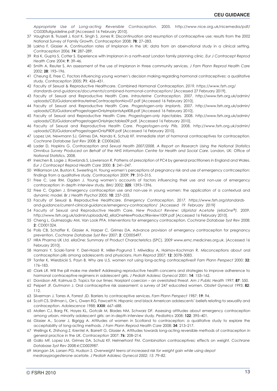*Appropriate Use of Long-acting Reversible Contraception.* 2005. http://www.nice.org.uk/nicemedia/pdf/ CG030fullguideline.pdf [Accessed 16 February 2010].

- 37 Vaughan B, Trussell J, Kost K, Singh S, Jones R. Discontinuation and resumption of contraceptive use: results from the 2002 National Survey of Family Growth. *Contraception* 2008; **78**: 27–283.
- 38 Lakha F, Glasier A. Continuation rates of Implanon in the UK: data from an obervational study in a clinical setting. *Contraception* 2006; **74**: 287–289.
- 39 Rai K, Gupta S, Cotter S. Experience with Implanon in a north-east London family planning clinic. *Eur J Contracept Reprod Health Care* 2004; **9**: 39–46.
- 40 Smith A, Reuter S. An assessment of the use of Implanon in three community services. *J Fam Plann Reprod Health Care* 2002; **28**: 193–196.
- 41 Cheung E, Free C. Factors influencing young women's decision making regarding hormonal contraceptives: a qualitative study. *Contraception* 2005; **71**: 426–431.
- 42 Faculty of Sexual & Reproductive Healthcare. Combined Hormonal Contraception. *2019. https://www.fsrh.org/ standards-and-guidance/documents/combined-hormonal-contraception/* [Accessed 27 February 2019].
- 43 Faculty of Sexual and Reproductive Health Care. *Intrauterine Contraception.* 2007. http://www.fsrh.org.uk/admin/ uploads/CEUGuidanceIntrauterineContraceptionNov07.pdf [Accessed 16 February 2010].
- 44 Faculty of Sexual and Reproductive Health Care. *Progestogen-only Implants*. 2007. http://www.fsrh.org.uk/admin/ uploads/CEUGuidanceProgestogenOnlyImplantsApril08.pdf [Accessed 16 February 2010].
- 45 Faculty of Sexual and Reproductive Health Care. *Progestogen-only Injectables.* 2008. http://www.fsrh.org.uk/admin/ uploads/CEUGuidanceProgestogenOnlyInjectables09.pdf. [Accessed 16 February 2010].
- 46 Faculty of Sexual and Reproductive Health Care. *Progestogen-only Pills.* 2008. http://www.fsrh.org.uk/admin/ uploads/CEUGuidanceProgestogenOnlyPill09.pdf [Accessed 16 February 2010].
- 47 Lopez LM, Newmann SJ, Grimes DA, Nanda K, Schulz KF. Immediate start of hormonal contraceptives for contraception. *Cochrane Database Syst Rev* 2008; **2**: CD006260.
- 48 Lader D, Hopkins G. *Contraception and Sexual Health 2007/2008. A Report on Research Using the National Statistics Omnibus Survey Produced on Behalf of the NHS Information Centre for Health and Social Care.* London, UK: Office of National Statistics, 2008.
- 49 Ineichen B, Logie J, Rowlands S, Lawrenson R. Patterns of prescription of PC4 by general practitioners in England and Wales. *Eur J Contracept Reprod Health Care* 2000; **5**: 241–247.
- 50 Williamson LM, Buston K, Sweeting H. Young women's perceptions of pregnancy risk and use of emergency contrcaeption: findings from a qualitative study. *Contraception* 2009; **79**: 310–315.
- 51 Free C, Lee RM, Ogden J. Young women's accounts of factors influencing their use and non-use of emergency contraception: in depth interview study. *BMJ* 2002; **325**: 1393–1396.
- 52 Free C, Ogden J. Emergency contraception use and non-use in young women: the application of a contextual and dynamic model. *Br J Health Psychol* 2005; **10**: 237–253.
- 53 Faculty of Sexual & Reproductive Healthcare. *Emergency Contraception. 2017. https://www.fsrh.org/standardsand-guidance/current-clinical-guidance/emergency-contraception/ [Accessed 19 February 2019]*
- 54 Faculty of Sexual and Reproductive Health Care. *New Product Review: Ulipristal Acetate (ellaOne®).* 2009. http://www.fsrh.org.uk/admin/uploads/42\_ellaOneNewProductReview1009.pdf [Accessed 16 February 2010].
- 55 Cheng L, Gulmezoglu AM, Van Look PFA. Interventions for emergency contraception. *Cochrane Database Syst Rev* 2008; **2**: CD001324.
- 56 Polis CB, Schaffer K, Glasier A, Harper C, Grimes DA. Advance provision of emergency contraception for pregnancy prevention. *Cochrane Database Syst Rev* 2007; **2**: CD005497.
- 57 HRA Pharma UK Ltd. ellaOne: Summary of Product Characteristics (SPC). 2009 www.emc.medicines.org.uk. [Accessed 16 February 2010].
- 58 Hamani Y, Sciaki-Tamir Y, Deri-Hasid R, Miller-Pogrund T, Milwidksy A, Haimov-Kochman R. Misconceptions about oral contraception pills among adolescents and physicians. *Hum Reprod* 2007; **12**: 3078–3083.
- 59 Tanfer K, Wierzbicki S, Payn B. Why are U.S. women not using long-acting contraceptives? *Fam Plann Perspect* 2000; **32**: 176–183.
- 60 Clark LR. Will the pill make me sterile? Addressing reproductive health concerns and strategies to improve adherence to hormonal contraceptive regimens in adolescent girls. *J Pediatr Adolesc Gynecol* 2001; **14**: 153–162.
- 61 Davidson AR, Kalmuss D. Topics for our times: Norplant coercion an overstated threat. *Am J Public Health* 1997; **87**: 550.
- 62 Peipert JF, Gutmann J. Oral contraceptive risk assessment: a survey of 247 educated women. *Obstet Gynecol* 1993; **82**: 112.
- 63 Silverman J, Torres A, Forrest JD. Barriers to contraceptive services. *Fam Plann Perspect* 1987; **19**: 94.
- 64 Scott CS, Shifman L, Orr L, Owen RG, Fawcett N. Hispanic and black American adolescents' beliefs relating to sexuality and contraception. *Adolescence* 1988; **XXIII**: 667–688.
- 65 Mollen CJ, Barg FK, Hayes KL, Gotcsik M, Blades NM, Schwarz DF. Assessing attitudes about emergency contraception among urban, minority adolescent girls: an in-depth interview study. *Pediatrics* 2008; **122**: 395–401.
- 66 Glasier A., Scorer J, Bigrigg A. Attitudes of women in Scotland to contraception: a qualitative study to explore the acceptability of long-acting methods. *J Fam Plann Reprod Health Care* 2008; **34**: 213–217.
- 67 Wellings K, Zhihong Z, Krentel A, Barrett G, Glasier A. Attitudes towards long-acting reversible methods of contraception in general practice in the UK. *Contraception* 2007; **76**: 208–214.
- 68 Gallo MF, Lopez LM, Grimes DA, Schulz KF, Helmerhorst FM. Combination contraceptives: effects on weight. *Cochrane Database Syst Rev 2008;4:CD003987.*
- *69 Mangan SA, Larsen PG, Hudson S. Overweight teens at increased risk for weight gain while using depot medroxyprogesterone acetate. J Pediatr Adolesc Gynecol 2002; 15: 79–82.*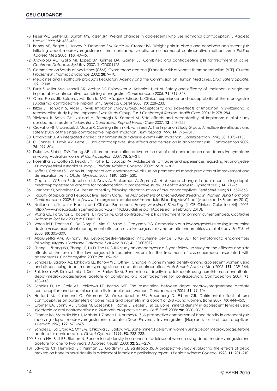- 70 Risser WL, Gefter LR, Barratt MS, Risser JM. Weight changes in adolescents who use hormonal contraception. *J Adolesc Health* 1999; **24**: 433–436.
- 71 Bonny AE, Ziegler J, Harvey R, Debanne SM, Secic M, Cromer BA. Weight gain in obese and nonobese adolescent girls initiating depot medroxyprogesterone, oral contraceptive pills, or no hormonal contraceptive method. *Arch Pediatr Adolesc Med* 2006; **160**: 40–45.
- 72 Arowojolu AO, Gallo MF, Lopez LM, Grimes DA, Garner SE. Combined oral contraceptive pills for treatment of acne. *Cochrane Database Syst Rev* 2007; **1**: CD004425.
- 73 Committee on Safety of Medicines (CSM). Cyproterone acetate (Dianette): risk of venous thromboembolism (VTE). *Current Problems in Pharmacovigilance* 2002; **28**: 9–10.
- 74 Medicines and Healthcare products Regulatory Agency and the Commission on Human Medicines. *Drug Safety Update.* **1**[9]. 2008.
- 75 Funk S, Miller MM, Mishell DR, Archer DF, Poindexter A, Schmidt J, *et al*. Safety and efficacy of Implanon, a single-rod implantable contraceptive containing etonogestrel. *Contraception* 2005; **71**: 319–326.
- 76 Otero Flores JB, Balderas ML, Bonilla MC, Vázquez-Estrado L. Clinical experience and acceptability of the etonogestrel subdermal contraceptive implant. *Int J Gynecol Obstet* 2005; **90**: 228–233.
- 77 Bitzer J, Tschudin S, Alder J, Swiss Implanon Study Group. Acceptability and side-effects of Implanon in Switzerland: a retrospective study by the Implanon Swiss Study Group. *Eur J Contracept Reprod Health Care* 2004; **9**: 278–284.
- 78 Yildizbas B, Sahin GH, Kolusari A, Zeteroglu S, Kamaci M. Side effects and acceptability of Implanon: a pilot study conducted in eastern Turkey. *Eur J Contracept Reprod Health Care* 2007; **12**: 248–252.
- 79 Croxatto HB, Urbancsek J, Massai R, Coelingh Bennik H, van Beek A, The Implanon Study Group. A multicentre efficacy and safety study of the single contraceptive implant Implanon. *Hum Reprod* 1999; **14**: 976–981.
- 80 Urbancsek J. An integrated analysis of nonmenstrual adverse events with Implanon. *Contraception* 1998; **58**: 109S–115S.
- 81 O'Connell K, Davis AR, Kerns J. Oral contraceptives: side effects and depression in adolescent girls. *Contraception* 2009; **75**: 299–304.
- 82 Duke JM, Sibbritt DW, Young AF. Is there an association between the use of oral contraception and depressive symptoms in young Australian women? *Contraception* 2007; **75**: 27–31.
- 83 Rosenthal SL, Cotton S, Ready JN, Potter LS, Succop PA. Adolescents' attitudes and experiences regarding levonorgestrel 100 mcg/ethinyl estradiol 20 mcg. *J Pediatr Adolesc Gynecol* 2002; **15**: 301–305.
- 84 Joffe H, Cohen LS, Harlow BL. Impact of oral contraceptive pill use on prementrual mood: predictors of improvement and deterioration. *Am J Obstet Gynecol* 2003; **189**: 1523–1530.
- 85 Gupta N, O'Brien R, Jacobsen LJ, Davis A, Zuckerman A, Supran S, *et al.* Mood changes in adolescents using depotmedroxyprogesterone acetate for contraception: a prospective study. *J Pediatr Adolesc Gynecol* 2001; **14**: 71–76.
- 86 Barnhart KT, Schreiber CA. Return to fertility following discontinuation of oral contraceptives. *Fertil Steril* 2009; **91**: 659–663.
- 87 Faculty of Sexual and Reproductive Health Care. *The Management of Unscheduled Bleeding in Women Using Hormonal Contraception.* 2009. http://www.fsrh.org/admin/uploads/UnscheduledBleedingMay09.pdf [Accessed 16 February 2010].
- 88 National Institute for Health and Clinical Excellence. *Heavy Menstrual Bleeding* (NICE Clinical Guideline 44). 2007. http://www.nice.org.uk/nicemedia/pdf/CG44NICEGuideline.pdf [Accessed 16 February 2010].
- 89 Wong CL, Farquhar C, Roberts H, Proctor M. Oral contraceptive pill as treatment for primary dymenorrhoea. *Cochrane Database Syst Rev* 2009; **2**: CD002120.
- 90 Vercellini P, Frontino G, De Giorgi O, Aimi G, Zaina B, Crosignani PG. Comparison of a levonorgestrel-releasing intrauterine device versus expectant management after conservative surgery for symptomatic endometriosis: a pilot study. *Fertil Steril* 2003; **80**: 305–309.
- 91 Abou-Setta AM, Al-Inany HG. Levonorgestrel-releasing intrauterine device (LNG-IUD) for symptomatic endometriosis following surgery. *Cochrane Database Syst Rev* 2006; **4**: CD005072.
- 92 Sheng J, Zhang WY, Zhang JP, Lu D. The LNG-IUS study on adenomyosis: a 3-year follow-up study on the efficacy and side effects of the use of the levonorgestrel intrauterine system for the treatment of dysmenorrhoea associated with adenomyosis*. Contraception* 2009; **79**: 189–193.
- 93 Scholes D, Lacroix AZ, Ichikawa LE, Barlow WE, Ott SM. Change in bone mineral density among adolescent women using and discontinuing depot medroxyproegesterone acetate contraception. *Arch Pediatr Adolesc Med* 2005; **159**: 139–144.
- 94 Beksinska ME, Kleinschmidt I, Smit JA, Farley TMM. Bone mineral desnity in adolsecents using norethisterone enanthate, depot-medroxyprogesterone acetate or combined oral contraceptives for contraception. *Contraception* 2007; **75**: 438–443.
- 95 Scholes D, La Croix AZ, Ichikawa LE, Barlow WE. The association between depot medroxyprogesterone acetate contraception and bone mineral density in adolescent women. *Contraception* 2004; **69**: 99–104.
- 96 Hartard M, Kleinmond C, Wiseman M, Weissenbacher ER, Felsenberg D, Erben GR. Detrimental effect of oral contraceptives on parameters of bone mass and geometry in a cohort of 248 young women. *Bone* 2007; **40**: 444–450.
- 97 Cromer BA, Bonny AE, Stager M, Lazebnik R., Rome E, Ziegler J, *et al.* Bone mineral density in adolescent females using injectable or oral contraceptives: a 24-month prospective study. *Fertil Steril* 2008; **90**: 2060–2067.
- 98 Cromer BA, McArdle Blair J, Mahan J, Zibners L, Naumovski Z. A prospective comparison of bone density in adolscent girls receiving depot medroxyprogesterone acetate (Depo-Provera), levonorgestrel (Norplant), or oral contraceptives. *J Pediatr* 1996; **129**: 671–675.
- 99 Scholes D, La Croix AZ, Ott SM, Ichikawa LE, Barlow WE. Bone mineral density in women using depot medroxyprogesterone acetate for contraception. *Obstet Gynecol* 1999; **93**: 233–238.
- 100 Busen NH, Britt RB, Rianon N. Bone mineral density in a cohort of adolescent women using depot medroxyprogesterone acetate for one to two years. *J Adolesc Health* 2003; **32**: 257–259.
- 101 Edwards CP, Hertweck SP, Perlman SE, Goldsmith LJ, Sanfilippo JS. A prospective study evaluating the effects of depo provera on bone mineral density in adolescent females: a preliminary report. *J Pediatr Adolesc Gynecol* 1998; **11**: 201–210.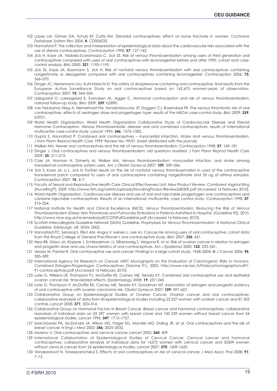- 102 Lopez LM, Grimes DA, Schulz KF, Curtis KM. Steroidal contraceptives: effect on bone fractures in women. *Cochrane Database System Rev* 2006; **4**: CD006033.
- 103 Hannaford P. The collection and interpretation of epidemiological data about the cardiovascular risks associated with the use of steroid contraceptives. *Contraception* 1998; **57**: 137–142.
- 104 Jick H, Kaye JA, Vasilakis-Scaramozza C, Jick SS. Risk of venous thromboembolism among users of third generation oral contraceptives compared with users of oral contraceptives with levonorgestrel before and after 1995: cohort and casecontrol analysis. *BMJ 2000*; **321**: 1190–1195.
- 105 Jick SS, Kaye JA, Russmann S, Jick H. Risk of nonfatal venous thromboembolism with oral contraceptives containing norgestimate or desogestrel compared with oral contraceptives containing levonorgestrel. *Contraception* 2006; **73**: 566–570.
- 106 Dinger JC, Heinemann LAJ, Kuhl-Habichl D. The safety of drospirenone-containing oral contraceptive: final results from the European Active Surveillance Study on oral contraceptives based on 142,475 women-years of observation. *Contraception* 2007; **75**: 344–354.
- 107 Lidegaard O, Lokkegaard E, Svendsen AL, Agger C. Hormonal contraception and risk of venous thromboembolism: national follow-up study. *BMJ* 2009; **339**: b2890.
- 108 van Hylckama Vlieg A, Helmerhorst FM, Vandenbroucke JP, Doggen CJ, Rosendaal FR. The venous thrombotic risk of oral contraceptives, effects of oestrogen dose and progestogen type: results of the MEGA case-control study. *BMJ* 2009; **339**: b2921.
- 109 World Health Organization. World Health Organization Collaborative Study of Cardiovascular Disease and Steroid Hormone Contraception. Venous thromboembolic disease and and combined contraceptives: results of international multicentre case-control study. *Lancet* 1995; **346**: 1575–1582.
- 110 Gupta S, Hannaford P. Combined oral contraceptives myocardial infarction, stroke and venous thromboembolism. *J Fam Plann Reprod Health Care* 1999; Review No. 99/01 (insert distributed with the journal).
- 111 Walker AM. Newer oral contraceptives and the risk of venous thromboembolism. *Contraception* 1998; **57**: 169–181.
- 112 Dinger J. Oral contraceptives and venous thromboembolism: old questions revisited. *J Fam Plann Reprod Health Care* 2009; **35**: 211–213.
- 113 Cole JA, Norman H, Doherty M, Walker AM. Venous thromboembolism, myocardial infaction, and stroke among transdermal contraceptive system users. *Am J Obstet Gynecol* 2007; **109**: 339–346.
- 114 Jick S, Kaye JA, Li L, Jick H. Further results on the risk of nonfatal venous thromboemolism in users of the contraceptive transdermal patch compared to users of oral contraceptive containing norgestimate and 35 ug of ethinyl estradiol. *Contraception* 2007; **76**: 4–7.
- 115 Faculty of Sexual and Reproductive Health Care Clinical Effectiveness Unit. *New Product Review: Combined Vaginal Ring (NuvaRing*®). 2009. http://www.fsrh.org/admin/uploads/NuvaringProductReview240309.pdf [Accessed 16 February 2010].
- 116 World Health Organization. Cardiovascular disease and use of oral and injectable progestagen only contraceptives and combine injectable contraceptives. Results of an international, multicentre, case control study. *Contraception* 1998; **57**: 315–324.
- 117 National Institute for Health and Clinical Excellence (NICE). *Venous Thromboembolism: Reducing the Risk of Venous Thromboembolism (Deep Vein Thrombosis and Pulmonary Embolism) in Patients Admitted to Hospital.* (Guideline 92). 2010. http://www.nice.org.uk/nicemedia/pdf/CG92FullGuideline.pdf [Accessed 16 February 2010].
- 118 Scottish Intercollegiate Guideline Network (SIGN) Guideline. *Prophylaxis for Venous Thromboembolism: A National Clinical Guideline.* Edinburgh, UK: SIGN, 2002.
- 119 Hannaford PC, Selvaraj S, Elliot AM, Angus V, Iversen L, Lee AJ. Cancer risk among users of oral contraceptive: cohort data from the Royal College of General Practitioner's oral contraceptive study. *BMJ* 2007; **335**: 651.
- 120 Ness RB, Grisso JA, Klapper J, Schlesselman JJ, Silberzweig S, Vergona R, *et al*. Risk of ovarian cancer in relation to estrogen and progestin dose and use characteristics of oral contraceptives. *Am J Epidemiol* 2000; **152**: 233–241.
- 121 Vessey M, Painter R. Oral contraceptive use and cancer. Findings in a large cohort study, 1968–2004. *Br J Cancer* 2006; **95**: 385–389.
- 122 International Agency for Research on Cancer. *IARC Monographs on the Evaluation of Carcinogenic Risks to Humans. Combined Estrogen-Progestogen Contraceptives* (Volume 91). 2005. http://www-cie.iarc.fr/htdocs/monographs/vol91- 91-contraceptives.pdf [Accessed 16 February 2010].
- 123 Lurie G, Wilkens LR, Thompson PJ, McDuffie KE, Carney ME, Terada KY. Combined oral contraceptive use and epithelial ovarian cancer risk: time-related effects. *Epidemiology* 2008; **19**: 237–243.
- 124 Lurie G, Thompson P, McDuffie KE, Carney ME, Terada KY, Goodman MT. Association of estrogen and progestin potency of oral contraceptive with ovarian carcinoma risk. *Obstet Gynecol* 2007; **109**: 597–607.
- 125 Collabortative Group on Epidemiological Studies of Ovarian Cancer. Ovarian cancer and oral contraceptives: collaborative reanalysis of data from 45 epidemiological studies including 23 257 women with ovarian cancer and 87 303 controls. *Lancet* 2008; **371**: 303–314.
- 126 Collaborative Group on Hormonal Factors in Breast Cancer. Breast cancer and hormonal contraceptives: collaborative reanalysis of individual data on 53 297 women with breast caner and 100 239 women without breast cancer from 54 epidemiological studies. *Lancet* 1996; **347**: 1713–1727.
- 127 Marchbanks PA, McDonald JA, Wilson HG, Folger SG, Mandel MG, Daling JR, *et al.* Oral contraceptives and the risk of breast cancer. *N Engl J Med* 2002; **346**: 2025–2032.
- 128 Moreno V. Oral contraceptives and cervical cancer. *Lancet* 2002; **360**: 409.
- 129 International Collabortation of Epidemiological Studies of Cervical Cancer. Cervical cancer and hormonal contraceptives: collaborative renalysis of individual data for 16573 women with cervical cancer and 35509 women without cervical cancer from 24 epidemiological studies. *Lancet* 2007; **370**: 1609–1620.
- 130 Vanakankovit N, Taneepanichskul S. Effects of oral contraceptives on risk of cervical cancer. *J Med Assoc Thai* 2008; **91**: 7–12.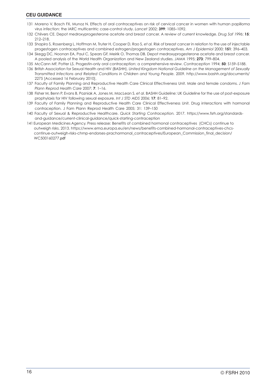#### **CEU GUIDANCE**

- 131 Moreno V, Bosch FX, Munoz N. Effects of oral contraceptives on risk of cervical cancer in women with human papilloma virus infection: the IARC multicentric case-control study. *Lancet* 2002; **399**: 1085–1092.
- 132 Chilvers CE. Depot medroxyprogesterone acetate and breast cancer. A review of current knowledge. *Drug Saf 1996*; **15**: 212–218.
- 133 Shapiro S, Rosenberg L, Hoffman M, Truter H, Cooper D, Rao S, *et al.* Risk of breast cancer in relation to the use of injectable progestogen contraceptives and combined estrogen/progestogen contraceptives. *Am J Epidemiol* 2000; **151**: 396–403.
- 134 Skegg DC, Noonan EA, Paul C, Spears GF, Meirik O, Thomas DB. Depot medroxyprogesterone acetate and breast cancer. A pooled analysis of the World Health Organization and New Zealand studies. *JAMA* 1995; **273**: 799–804.
- 135 McCann MF, Potter LS. Progestin-only oral contraception: a comprehensive review. *Contraception* 1994; **50**: S159–S188.
- 136 British Association for Sexual Health and HIV (BASHH). *United Kingdom National Guideline on the Management of Sexually Transmitted Infections and Related Conditions in Children and Young People.* 2009. http://www.bashh.org/documents/ 2275 [Accessed 16 February 2010].
- 137 Faculty of Family Planning and Reproductive Health Care Clinical Effectiveness Unit. Male and female condoms. *J Fam Plann Reprod Health Care* 2007; **7**: 1–16.
- 138 Fisher M, Benn P, Evans B, Pozniak A, Jones M, MacLean S, *et al*. BASHH Guideline: UK Guideline for the use of post-exposure prophylaxis for HIV following sexual exposure. *Int J STD AIDS* 2006; **17**: 81–92.
- 139 Faculty of Family Planning and Reproductive Health Care Clinical Effectiveness Unit. Drug interactions with hormonal contraception. J Fam Plann Reprod Health Care 2005; 31: 139–150
- 140 Faculty of Sexual & Reproductive Healthcare. *Quick Starting Contraception.* 2017. https://www.fsrh.org/standardsand-guidance/current-clinical-guidance/quick-starting-contraception
- 141 European Medicines Agency. Press release: Benefits of combined hormonal contraceptives (CHCs) continue to outweigh risks. 2013. https://www.ema.europa.eu/en/news/benefits-combined-hormonal-contraceptives-chcs continue-outweigh-risks-chmp-endorses-prachormonal\_contraceptives/European\_Commission\_final\_decision/ WC500160277.pdf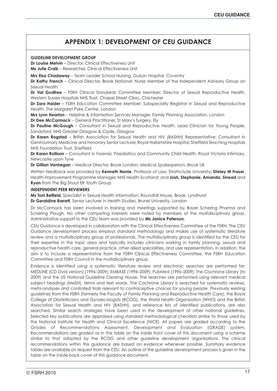### **APPENDIX 1: DEVELOPMENT OF CEU GUIDANCE**

#### **GUIDELINE DEVELOPMENT GROUP**

**Dr Louise Melvin** – Director, Clinical Effectiveness Unit

**Ms Julie Craik** – Researcher, Clinical Effectiveness Unit

**Mrs Elsa Chadaway** – Team Leader School Nursing, Gulson Hospital, Coventry

**Dr Kathy French** – Clinical Director, Brook National; Nurse Member of the Independent Advisory Group on Sexual Health

**Dr Val Godfree** – FSRH Clinical Standards Committee Member; Director of Sexual Reproductive Health, Western Sussex Hospitals NHS Trust, Chapel Street Clinic, Chichester

**Dr Zara Haider** – FSRH Education Committee Member; Subspecialty Registrar in Sexual and Reproductive Health, The Margaret Pyke Centre, London

**Mrs Lynn Hearton** – Helpline & Information Services Manager, Family Planning Association, London **Dr Dee McCormack** – General Practitioner, St Mary's Surgery, Ely

**Dr Pauline McGough** – Consultant in Sexual and Reproductive Health, Lead Clinician for Young People, Sandyford, NHS Greater Glasgow & Clyde, Glasgow

**Dr Karen Rogstad** – British Association for Sexual Health and HIV (BASHH) Representative; Consultant in Genitourinary Medicine and Honorary Senior Lecturer, Royal Hallamshire Hospital, Sheffield Teaching Hospitals NHS Foundation Trust, Sheffield

**Dr Karen Rollison** – Consultant in Forensic Paediatrics and Community Child Health, Royal Victoria Infirmary, Newcastle upon Tyne

**Dr Gillian Vanhegan** – Medical Director, Brook London; Medical Spokesperson, Brook UK

Written feedback was provided by **Kenneth Norrie**, Professor of Law, Strathclyde University; **Shirley M Fraser**, Health Improvement Programme Manager, NHS Health Scotland; and **Josh, Stephanie, Amanda, Sinead** and **Ryan** from The Big Shout ER Youth Group.

#### **INDEPENDENT PEER REVIEWERS**

**Ms Toni Belfield**, Specialist in Sexual Health Information, Roundhill House, Brook, Lyndhurst **Dr Geraldine Barrett**, Senior Lecturer in Health Studies, Brunel University, London

Dr McCormack has been involved in training and meetings supported by Bayer Schering Pharma and Schering Plough. No other competing interests were noted by members of the multidisciplinary group. Administrative support to the CEU team was provided by **Ms Janice Paterson.**

CEU Guidance is developed in collaboration with the Clinical Effectiveness Committee of the FSRH. The CEU Guidance development process employs standard methodology and makes use of systematic literature review and a multidisciplinary group of professionals. The multidisciplinary group is identified by the CEU for their expertise in the topic area and typically includes clinicians working in family planning, sexual and reproductive health care, general practice, other allied specialities, and user representation. In addition, the aim is to include a representative from the FSRH Clinical Effectiveness Committee, the FSRH Education Committee and FSRH Council in the multidisciplinary group.

Evidence is identified using a systematic literature review and electronic searches are performed for: MEDLINE (CD Ovid version) (1996–2009); EMBASE (1996–2009); PubMed (1996–2009); The Cochrane Library (to 2009) and the US National Guideline Clearing House. The searches are performed using relevant medical subject headings (MeSH), terms and text words. The Cochrane Library is searched for systematic reviews, meta-analyses and controlled trials relevant to contraceptive choices for young people. Previously existing guidelines from the FSRH (formerly the Faculty of Family Planning and Reproductive Health Care), the Royal College of Obstetricians and Gynaecologists (RCOG), the World Health Organization (WHO) and the British Association for Sexual Health and HIV (BASHH), and reference lists of identified publications, are also searched. Similar search strategies have been used in the development of other national guidelines. Selected key publications are appraised using standard methodological checklists similar to those used by the National Institute for Health and Clinical Excellence (NICE). All papers are graded according to the Grades of Recommendations Assessment, Development and Evaluation (GRADE) system. Recommendations are graded as in the table on the inside front cover of this document using a scheme similar to that adopted by the RCOG and other guideline development organisations. The clinical recommendations within this guidance are based on evidence whenever possible. Summary evidence tables are available on request from the CEU. An outline of the guideline development process is given in the table on the inside back cover of this guidance document.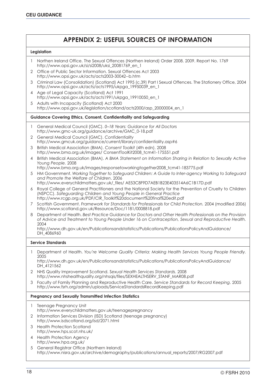## **APPENDIX 2: USEFUL SOURCES OF INFORMATION**

#### **Legislation**

|   | Northen Ireland Office. The Sexual Offences (Northen Ireland) Order 2008. 2009. Report No. 1769<br>http://www.opsi.gov.uk/si/si2008/uksi_20081769_en_1                                                                                                   |
|---|----------------------------------------------------------------------------------------------------------------------------------------------------------------------------------------------------------------------------------------------------------|
| 2 | Office of Public Sector Information. Sexual Offences Act 2003<br>http://www.opsi.gov.uk/acts/acts2003-30042--b.htm                                                                                                                                       |
| 3 | Criminal Law (Consolidation) (Scotland) Act 1995 (c.39) Part I Sexual Offences. The Stationery Office, 2004<br>http://www.opsi.gov.uk/acts/acts1995/ukpga_19950039_en_1                                                                                  |
| 4 | Age of Legal Capacity (Scotland) Act 1991<br>http://www.opsi.gov.uk/acts/acts1991/ukpga_19910050_en_1                                                                                                                                                    |
| 5 | Adults with Incapacity (Scotland) Act 2000<br>http://www.opsi.gov.uk/legislation/scotland/acts2000/asp_20000004_en_1                                                                                                                                     |
|   | <b>Guidance Covering Ethics, Consent, Confidentiality and Safeguarding</b>                                                                                                                                                                               |
|   | General Medical Council (GMC). 0-18 Years: Guidance for All Doctors<br>http://www.gmc-uk.org/guidance/archive/GMC_0-18.pdf                                                                                                                               |
| 2 | General Medical Council (GMC). Confidentiality<br>http://www.gmcuk.org/guidance/current/library/confidentiality.asp#6                                                                                                                                    |
| 3 | British Medical Association (BMA). Consent Toolkit (4th edn). 2008<br>http://www.bma.org.uk/images/ ConsentToolKit2008_tcm41-175551.pdf                                                                                                                  |
| 4 | British Medical Association (BMA). A BMA Statement on Information Sharing in Relation to Sexually Active<br>Young People. 2008                                                                                                                           |
| 5 | http://www.bma.org.uk/images/responsetoworkingtogether2008_tcm41-183775.pdf<br>HM Government. Working Together to Safeguard Children: A Guide to Inter-agency Working to Safeguard<br>and Promote the Welfare of Children. 2006                          |
|   | http://www.everychildmatters.gov.uk/_files/ AE53C8F9D7AEB1B23E403514A6C1B17D.pdf                                                                                                                                                                         |
| 6 | Royal College of General Practitioners and the National Society for the Prevention of Cruelty to Children<br>(NSPCC). Safeguarding Children and Young People in General Practice<br>http://www.rcgp.org.uk/PDF/CIR_Toolkit%20document%20final%20edit.pdf |
| 7 | Scottish Government. Framework for Standards for Professionals for Child Protection. 2004 (modified 2006)<br>http://www.scotland.gov.uk/Resource/Doc/1181/0008818.pdf                                                                                    |
| 8 | Department of Health. Best Practice Guidance for Doctors and Other Health Professionals on the Provision<br>of Advice and Treatment to Young People Under 16 on Contraception, Sexual and Reproductive Health.<br>2004                                   |
|   | http://www.dh.gov.uk/en/Publicationsandstatistics/Publications/PublicationsPolicyAndGuidance/<br>DH_4086960                                                                                                                                              |
|   | <b>Service Standards</b>                                                                                                                                                                                                                                 |
| 1 | Department of Health. You're Welcome Quality Criteria: Making Health Services Young People Friendly.<br>2005                                                                                                                                             |
|   | http://www.dh.gov.uk/en/Publicationsandstatistics/Publications/PublicationsPolicyAndGuidance/<br>DH_4121562                                                                                                                                              |
| 2 | NHS Quality Improvement Scotland. Sexual Health Services Standards. 2008<br>http://www.nhshealthquality.org/nhsqis/files/SEXHEALTHSERV_STANF_MAR08.pdf                                                                                                   |
| 3 | Faculty of Family Planning and Reproductive Health Care. Service Standards for Record Keeping. 2005<br>http://www.fsrh.org/admin/uploads/ServiceStandardsRecordKeeping.pdf                                                                               |
|   | <b>Pregnancy and Sexually Transmitted Infection Statistics</b>                                                                                                                                                                                           |
| 1 | Teenage Pregnancy Unit<br>http://www.everychildmatters.gov.uk/teenagepregnancy                                                                                                                                                                           |
| 2 | Information Services Division (ISD) Scotland (teenage pregnancy)<br>http://www.isdscotland.org/isd/2071.html                                                                                                                                             |
| 3 | <b>Health Protection Scotland</b><br>http://www.hps.scot.nhs.uk/                                                                                                                                                                                         |
| 4 | <b>Health Protection Agency</b><br>http://www.hpa.org.uk/                                                                                                                                                                                                |
| 5 | General Registrar Office (Northern Ireland)<br>http://www.nisra.gov.uk/archive/demography/publications/annual_reports/2007/RG2007.pdf                                                                                                                    |
|   |                                                                                                                                                                                                                                                          |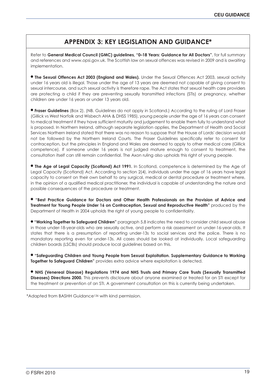## **APPENDIX 3: KEY LEGISLATION AND GUIDANCE\***

Refer to **General Medical Council (GMC) guidelines, "0–18 Years: Guidance for All Doctors"**, for full summary and references and www.opsi.gov.uk. The Scottish law on sexual offences was revised in 2009 and is awaiting implementation.

**The Sexual Offences Act 2003 (England and Wales).** Under the Sexual Offences Act 2003, sexual activity under 16 years old is illegal. Those under the age of 13 years are deemed not capable of giving consent to sexual intercourse, and such sexual activity is therefore rape. The Act states that sexual health care providers are protecting a child if they are preventing sexually transmitted infections (STIs) or pregnancy, whether children are under 16 years or under 13 years old.

● **Fraser Guidelines** (Box 2). (NB. Guidelines do not apply in Scotland.) According to the ruling of Lord Fraser (Gillick vs West Norfolk and Wisbech AHA & DHSS 1985), young people under the age of 16 years can consent to medical treatment if they have sufficient maturity and judgement to enable them fully to understand what is proposed. In Northern Ireland, although separate legislation applies, the Department of Health and Social Services Northern Ireland stated that there was no reason to suppose that the House of Lords' decision would not be followed by the Northern Ireland Courts. The Fraser Guidelines specifically refer to consent for contraception, but the principles in England and Wales are deemed to apply to other medical care (Gillick competence). If someone under 16 years is not judged mature enough to consent to treatment, the consultation itself can still remain confidential. The Axon ruling also upholds this right of young people.

● **The Age of Legal Capacity (Scotland) Act 1991.** In Scotland, competence is determined by the Age of Legal Capacity (Scotland) Act. According to section 2(4), individuals under the age of 16 years have legal capacity to consent on their own behalf to any surgical, medical or dental procedure or treatment where, in the opinion of a qualified medical practitioner, the individual is capable of understanding the nature and possible consequences of the procedure or treatment.

● **"Best Practice Guidance for Doctors and Other Health Professionals on the Provision of Advice and Treatment for Young People Under 16 on Contraception, Sexual and Reproductive Health"** produced by the Department of Health in 2004 upholds the right of young people to confidentiality.

● **"Working Together to Safeguard Children"** paragraph 5.8 indicates the need to consider child sexual abuse in those under-18-year-olds who are sexually active, and perform a risk assessment on under-16-year-olds. It states that there is a presumption of reporting under-13s to social services and the police. There is no mandatory reporting even for under-13s. All cases should be looked at individually. Local safeguarding children boards (LSCBs) should produce local guidelines based on this.

● **"Safeguarding Children and Young People from Sexual Exploitation. Supplementary Guidance to Working Together to Safeguard Children"** provides extra advice where exploitation is detected.

● **NHS (Venereal Disease) Regulations 1974 and NHS Trusts and Primary Care Trusts (Sexually Transmitted Diseases) Directions 2000.** This prevents disclosure about anyone examined or treated for an STI except for the treatment or prevention of an STI. A government consultation on this is currently being undertaken.

\*Adapted from BASHH Guidance136 with kind permission.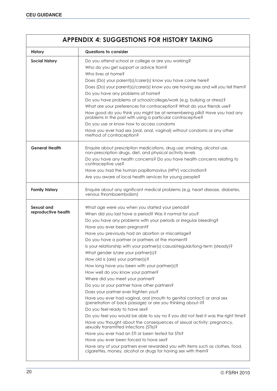| <b>APPENDIX 4: SUGGESTIONS FOR HISTORY TAKING</b> |                                                                                                                                                                                                                                                                                                                                                                                                                                                                                                                                                                                                                                                                                                                                                                 |  |  |  |
|---------------------------------------------------|-----------------------------------------------------------------------------------------------------------------------------------------------------------------------------------------------------------------------------------------------------------------------------------------------------------------------------------------------------------------------------------------------------------------------------------------------------------------------------------------------------------------------------------------------------------------------------------------------------------------------------------------------------------------------------------------------------------------------------------------------------------------|--|--|--|
| <b>History</b>                                    | Questions to consider                                                                                                                                                                                                                                                                                                                                                                                                                                                                                                                                                                                                                                                                                                                                           |  |  |  |
| <b>Social history</b>                             | Do you attend school or college or are you working?<br>Who do you get support or advice from?<br>Who lives at home?<br>Does (Do) your parent(s)/carer(s) know you have come here?<br>Does (Do) your parent(s)/carer(s) know you are having sex and will you tell them?<br>Do you have any problems at home?<br>Do you have problems at school/college/work (e.g. bullying or stress)?<br>What are your preferences for contraception? What do your friends use?<br>How good do you think you might be at remembering pills? Have you had any<br>problems in the past with using a particular contraceptive?<br>Do you use or know how to access condoms<br>Have you ever had sex (oral, anal, vaginal) without condoms or any other<br>method of contraception? |  |  |  |
| <b>General Health</b>                             | Enquire about prescription medications, drug use: smoking, alcohol use,<br>non-prescription drugs, diet, and physical activity levels<br>Do you have any health concerns? Do you have health concerns relating to<br>contraceptive use?<br>Have you had the human papillomavirus (HPV) vaccination?<br>Are you aware of local health services for young people?                                                                                                                                                                                                                                                                                                                                                                                                 |  |  |  |
| <b>Family history</b>                             | Enquire about any significant medical problems (e.g. heart disease, diabetes,<br>venous thromboembolism)                                                                                                                                                                                                                                                                                                                                                                                                                                                                                                                                                                                                                                                        |  |  |  |
| Sexual and<br>reproductive health                 | What age were you when you started your periods?<br>When did you last have a period? Was it normal for you?<br>Do you have any problems with your periods or irregular bleeding?<br>Have you ever been pregnant?<br>Have you previously had an abortion or miscarriage?<br>Do you have a partner or partners at the moment?<br>Is your relationship with your partner(s) casual/regular/long-term (steady)?<br>What gender is/are your partner(s)?<br>How old is (are) your partner(s)?<br>How long have you been with your partner(s)?<br>How well do you know your partner?                                                                                                                                                                                   |  |  |  |
|                                                   | Where did you meet your partner?<br>Do you or your partner have other partners?<br>Does your partner ever frighten you?<br>Have you ever had vaginal, oral (mouth to genital contact) or anal sex<br>(penetration of back passage) or are you thinking about it?<br>Do you feel ready to have sex?<br>Do you feel you would be able to say no if you did not feel it was the right time?<br>Have you thought about the consequences of sexual activity: pregnancy,<br>sexually transmitted infections (STIs)?<br>Have you ever had an STI or been tested for STIs?<br>Have you ever been forced to have sex?<br>Have any of your partners ever rewarded you with items such as clothes, food,<br>cigarettes, money, alcohol or drugs for having sex with them?  |  |  |  |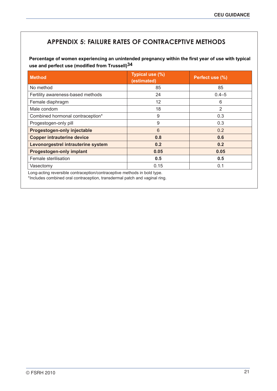## **APPENDIX 5: FAILURE RATES OF CONTRACEPTIVE METHODS**

**Percentage of women experiencing an unintended pregnancy within the first year of use with typical use and perfect use (modified from Trussell)34**

| <b>Method</b>                      | Typical use (%)<br>(estimated) | Perfect use (%) |
|------------------------------------|--------------------------------|-----------------|
| No method                          | 85                             | 85              |
| Fertility awareness-based methods  | 24                             | $0.4 - 5$       |
| Female diaphragm                   | 12                             | 6               |
| Male condom                        | 18                             | $\overline{2}$  |
| Combined hormonal contraception*   | 9                              | 0.3             |
| Progestogen-only pill              | 9                              | 0.3             |
| Progestogen-only injectable        | $6\phantom{1}6$                | 0.2             |
| <b>Copper intrauterine device</b>  | 0.8                            | 0.6             |
| Levonorgestrel intrauterine system | 0.2                            | 0.2             |
| <b>Progestogen-only implant</b>    | 0.05                           | 0.05            |
| Female sterilisation               | 0.5                            | 0.5             |
| Vasectomy                          | 0.15                           | 0.1             |

Long-acting reversible contraception/contraceptive methods in bold type.

\*Includes combined oral contraception, transdermal patch and vaginal ring.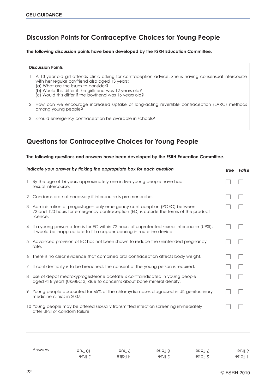## **Discussion Points for Contraceptive Choices for Young People**

**The following discussion points have been developed by the FSRH Education Committee.**

#### **Discussion Points**

- 1 A 13-year-old girl attends clinic asking for contraception advice. She is having consensual intercourse with her regular boyfriend also aged 13 years:
	- (a) What are the issues to consider?
	- (b) Would this differ if the girlfriend was 12 years old?
	- (c) Would this differ if the boyfriend was 16 years old?
- 2 How can we encourage increased uptake of long-acting reversible contraception (LARC) methods among young people?
- 3 Should emergency contraception be available in schools?

### **Questions for Contraceptive Choices for Young People**

#### **The following questions and answers have been developed by the FSRH Education Committee.**

|   | Indicate your answer by ficking the appropriate box for each question                                                                                                            | True | False |
|---|----------------------------------------------------------------------------------------------------------------------------------------------------------------------------------|------|-------|
|   | By the age of 16 years approximately one in five young people have had<br>sexual intercourse.                                                                                    |      |       |
|   | 2 Condoms are not necessary if intercourse is pre-menarche.                                                                                                                      |      |       |
|   | 3 Administration of progestogen-only emergency contraception (POEC) between<br>72 and 120 hours for emergency contraception (ED) is outside the terms of the product<br>licence. |      |       |
|   | 4 If a young person attends for EC within 72 hours of unprotected sexual intercourse (UPSI),<br>it would be inappropriate to fit a copper-bearing intrauterine device.           |      |       |
|   | 5 Advanced provision of EC has not been shown to reduce the unintended pregnancy<br>rate.                                                                                        |      |       |
|   | 6 There is no clear evidence that combined oral contraception affects body weight.                                                                                               |      |       |
|   | 7 If confidentiality is to be breached, the consent of the young person is required.                                                                                             |      |       |
| 8 | Use of depot medroxyprogesterone acetate is contraindicated in young people<br>aged <18 years (UKMEC 3) due to concerns about bone mineral density.                              |      |       |
|   | 9 Young people accounted for 65% of the chlamydia cases diagnosed in UK genitourinary<br>medicine clinics in 2007.                                                               |      |       |
|   | 10 Young people may be offered sexually transmitted infection screening immediately<br>after UPSI or condom failure.                                                             |      |       |

| Answers | 90101 | eu¶ ?                     | $e$ slo <sub>18</sub> | $\exists$ False | əuli 9    |
|---------|-------|---------------------------|-----------------------|-----------------|-----------|
|         | aune  | $\exists$ slot $\uparrow$ | əul E                 | 2 False         | $l$ False |